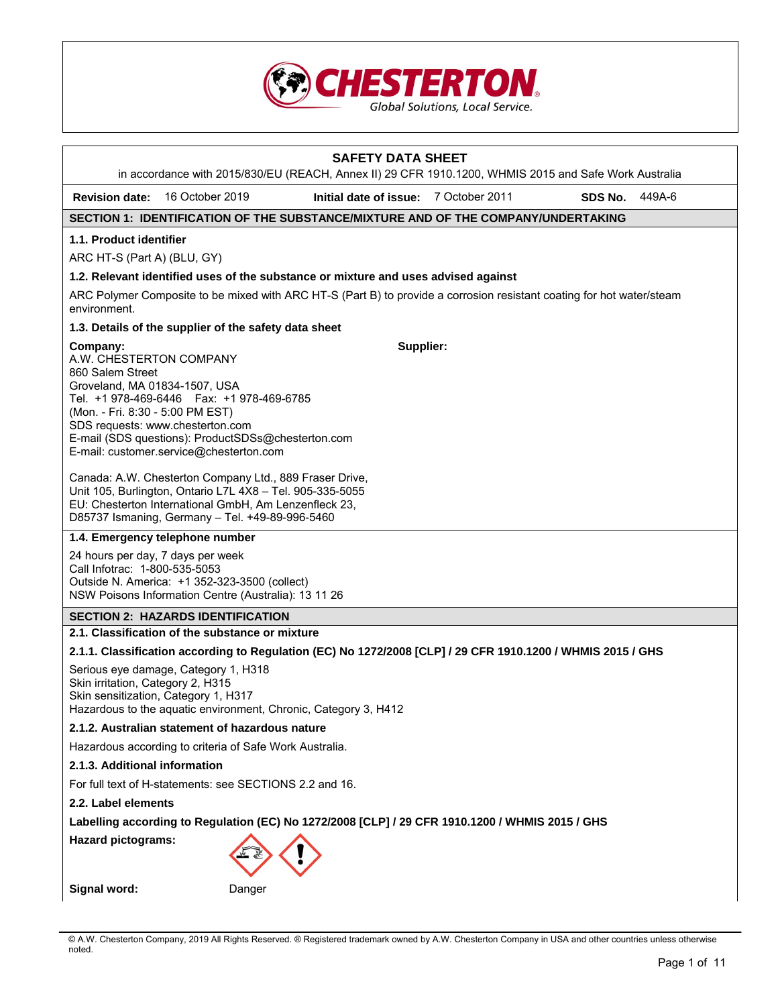

|                                                                                                                              |                                                                                                                                                                                                                                  | <b>SAFETY DATA SHEET</b><br>in accordance with 2015/830/EU (REACH, Annex II) 29 CFR 1910.1200, WHMIS 2015 and Safe Work Australia |         |        |
|------------------------------------------------------------------------------------------------------------------------------|----------------------------------------------------------------------------------------------------------------------------------------------------------------------------------------------------------------------------------|-----------------------------------------------------------------------------------------------------------------------------------|---------|--------|
| <b>Revision date:</b>                                                                                                        | 16 October 2019                                                                                                                                                                                                                  | Initial date of issue: 7 October 2011                                                                                             | SDS No. | 449A-6 |
|                                                                                                                              |                                                                                                                                                                                                                                  | SECTION 1: IDENTIFICATION OF THE SUBSTANCE/MIXTURE AND OF THE COMPANY/UNDERTAKING                                                 |         |        |
| 1.1. Product identifier                                                                                                      |                                                                                                                                                                                                                                  |                                                                                                                                   |         |        |
| ARC HT-S (Part A) (BLU, GY)                                                                                                  |                                                                                                                                                                                                                                  |                                                                                                                                   |         |        |
|                                                                                                                              |                                                                                                                                                                                                                                  | 1.2. Relevant identified uses of the substance or mixture and uses advised against                                                |         |        |
| environment.                                                                                                                 |                                                                                                                                                                                                                                  | ARC Polymer Composite to be mixed with ARC HT-S (Part B) to provide a corrosion resistant coating for hot water/steam             |         |        |
|                                                                                                                              | 1.3. Details of the supplier of the safety data sheet                                                                                                                                                                            |                                                                                                                                   |         |        |
| Company:<br>A.W. CHESTERTON COMPANY<br>860 Salem Street<br>Groveland, MA 01834-1507, USA<br>(Mon. - Fri. 8:30 - 5:00 PM EST) | Tel. +1 978-469-6446    Fax: +1 978-469-6785<br>SDS requests: www.chesterton.com<br>E-mail (SDS questions): ProductSDSs@chesterton.com<br>E-mail: customer.service@chesterton.com                                                | Supplier:                                                                                                                         |         |        |
|                                                                                                                              | Canada: A.W. Chesterton Company Ltd., 889 Fraser Drive,<br>Unit 105, Burlington, Ontario L7L 4X8 - Tel. 905-335-5055<br>EU: Chesterton International GmbH, Am Lenzenfleck 23,<br>D85737 Ismaning, Germany - Tel. +49-89-996-5460 |                                                                                                                                   |         |        |
|                                                                                                                              | 1.4. Emergency telephone number                                                                                                                                                                                                  |                                                                                                                                   |         |        |
| Call Infotrac: 1-800-535-5053                                                                                                | 24 hours per day, 7 days per week<br>Outside N. America: +1 352-323-3500 (collect)<br>NSW Poisons Information Centre (Australia): 13 11 26                                                                                       |                                                                                                                                   |         |        |
|                                                                                                                              | <b>SECTION 2: HAZARDS IDENTIFICATION</b>                                                                                                                                                                                         |                                                                                                                                   |         |        |
|                                                                                                                              | 2.1. Classification of the substance or mixture                                                                                                                                                                                  |                                                                                                                                   |         |        |
|                                                                                                                              |                                                                                                                                                                                                                                  | 2.1.1. Classification according to Regulation (EC) No 1272/2008 [CLP] / 29 CFR 1910.1200 / WHMIS 2015 / GHS                       |         |        |
| Skin irritation, Category 2, H315                                                                                            | Serious eye damage, Category 1, H318<br>Skin sensitization, Category 1, H317<br>Hazardous to the aquatic environment, Chronic, Category 3, H412                                                                                  |                                                                                                                                   |         |        |
|                                                                                                                              | 2.1.2. Australian statement of hazardous nature                                                                                                                                                                                  |                                                                                                                                   |         |        |
|                                                                                                                              | Hazardous according to criteria of Safe Work Australia.                                                                                                                                                                          |                                                                                                                                   |         |        |
| 2.1.3. Additional information                                                                                                |                                                                                                                                                                                                                                  |                                                                                                                                   |         |        |
|                                                                                                                              | For full text of H-statements: see SECTIONS 2.2 and 16.                                                                                                                                                                          |                                                                                                                                   |         |        |
| 2.2. Label elements                                                                                                          |                                                                                                                                                                                                                                  |                                                                                                                                   |         |        |
|                                                                                                                              |                                                                                                                                                                                                                                  | Labelling according to Regulation (EC) No 1272/2008 [CLP] / 29 CFR 1910.1200 / WHMIS 2015 / GHS                                   |         |        |
| <b>Hazard pictograms:</b>                                                                                                    |                                                                                                                                                                                                                                  |                                                                                                                                   |         |        |
| Signal word:                                                                                                                 | Danger                                                                                                                                                                                                                           |                                                                                                                                   |         |        |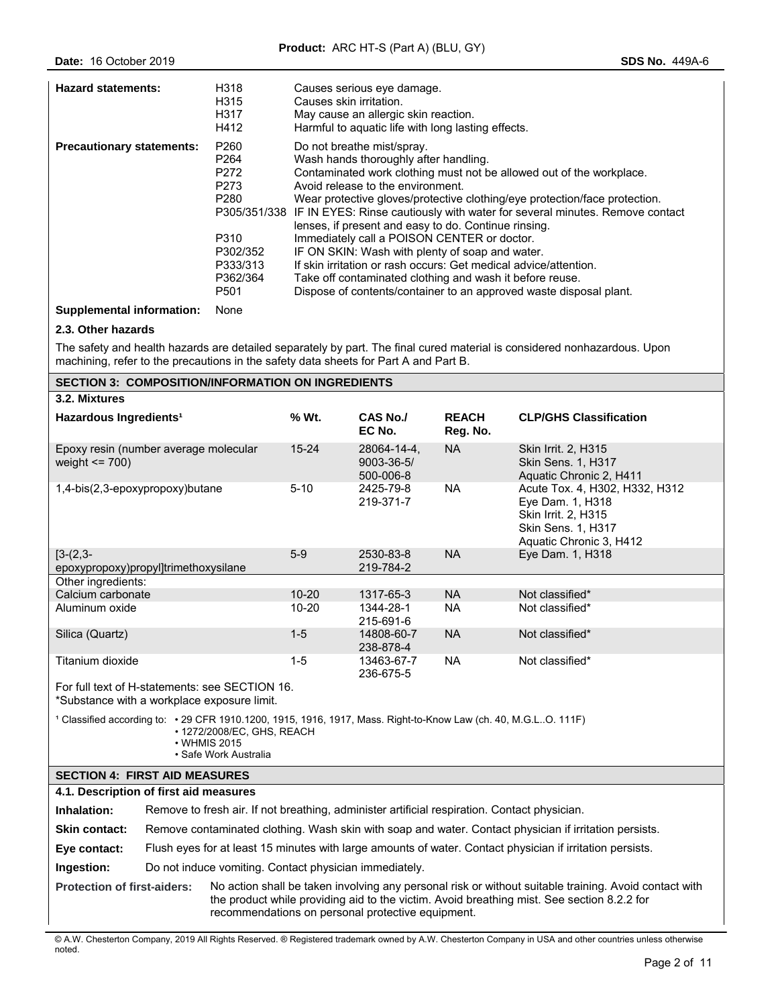| <b>Hazard statements:</b>        | H318<br>H315<br>H317<br>H412                                                     | Causes serious eye damage.<br>Causes skin irritation.<br>May cause an allergic skin reaction.<br>Harmful to aquatic life with long lasting effects.                                                                                                                                                                                                                                                                                                               |
|----------------------------------|----------------------------------------------------------------------------------|-------------------------------------------------------------------------------------------------------------------------------------------------------------------------------------------------------------------------------------------------------------------------------------------------------------------------------------------------------------------------------------------------------------------------------------------------------------------|
| <b>Precautionary statements:</b> | P <sub>260</sub><br>P <sub>264</sub><br>P272<br>P273<br>P <sub>280</sub><br>P310 | Do not breathe mist/spray.<br>Wash hands thoroughly after handling.<br>Contaminated work clothing must not be allowed out of the workplace.<br>Avoid release to the environment.<br>Wear protective gloves/protective clothing/eye protection/face protection.<br>P305/351/338 IF IN EYES: Rinse cautiously with water for several minutes. Remove contact<br>lenses, if present and easy to do. Continue rinsing.<br>Immediately call a POISON CENTER or doctor. |
|                                  | P302/352<br>P333/313<br>P362/364<br>P <sub>501</sub>                             | IF ON SKIN: Wash with plenty of soap and water.<br>If skin irritation or rash occurs: Get medical advice/attention.<br>Take off contaminated clothing and wash it before reuse.<br>Dispose of contents/container to an approved waste disposal plant.                                                                                                                                                                                                             |

**Supplemental information:** None

## **2.3. Other hazards**

The safety and health hazards are detailed separately by part. The final cured material is considered nonhazardous. Upon machining, refer to the precautions in the safety data sheets for Part A and Part B.

| <b>SECTION 3: COMPOSITION/INFORMATION ON INGREDIENTS</b>                                                                                                                                                                                                                                       |                                                                                                           |                                                        |                         |                                                                                              |                          |                                                                                                                            |
|------------------------------------------------------------------------------------------------------------------------------------------------------------------------------------------------------------------------------------------------------------------------------------------------|-----------------------------------------------------------------------------------------------------------|--------------------------------------------------------|-------------------------|----------------------------------------------------------------------------------------------|--------------------------|----------------------------------------------------------------------------------------------------------------------------|
| 3.2. Mixtures                                                                                                                                                                                                                                                                                  |                                                                                                           |                                                        |                         |                                                                                              |                          |                                                                                                                            |
| Hazardous Ingredients <sup>1</sup>                                                                                                                                                                                                                                                             |                                                                                                           |                                                        | % Wt.                   | CAS No./<br>EC No.                                                                           | <b>REACH</b><br>Reg. No. | <b>CLP/GHS Classification</b>                                                                                              |
| Epoxy resin (number average molecular<br>weight $\le$ 700)                                                                                                                                                                                                                                     |                                                                                                           |                                                        | $15 - 24$               | 28064-14-4.<br>$9003 - 36 - 5/$<br>500-006-8                                                 | <b>NA</b>                | Skin Irrit. 2, H315<br>Skin Sens. 1, H317<br>Aquatic Chronic 2, H411                                                       |
| 1,4-bis(2,3-epoxypropoxy)butane                                                                                                                                                                                                                                                                |                                                                                                           |                                                        | $5 - 10$                | 2425-79-8<br>219-371-7                                                                       | <b>NA</b>                | Acute Tox. 4, H302, H332, H312<br>Eye Dam. 1, H318<br>Skin Irrit. 2, H315<br>Skin Sens. 1, H317<br>Aquatic Chronic 3, H412 |
| $[3-(2,3-$                                                                                                                                                                                                                                                                                     |                                                                                                           |                                                        | $5-9$                   | 2530-83-8                                                                                    | <b>NA</b>                | Eye Dam. 1, H318                                                                                                           |
| epoxypropoxy)propyl]trimethoxysilane                                                                                                                                                                                                                                                           |                                                                                                           |                                                        |                         | 219-784-2                                                                                    |                          |                                                                                                                            |
| Other ingredients:<br>Calcium carbonate                                                                                                                                                                                                                                                        |                                                                                                           |                                                        | $10 - 20$               | 1317-65-3                                                                                    | <b>NA</b>                | Not classified*                                                                                                            |
| Aluminum oxide                                                                                                                                                                                                                                                                                 |                                                                                                           |                                                        | $10 - 20$               | 1344-28-1                                                                                    | <b>NA</b>                | Not classified*                                                                                                            |
|                                                                                                                                                                                                                                                                                                |                                                                                                           |                                                        |                         | 215-691-6                                                                                    |                          |                                                                                                                            |
| Silica (Quartz)                                                                                                                                                                                                                                                                                |                                                                                                           |                                                        | $1 - 5$                 | 14808-60-7<br>238-878-4                                                                      | <b>NA</b>                | Not classified*                                                                                                            |
| Titanium dioxide                                                                                                                                                                                                                                                                               |                                                                                                           | $1 - 5$                                                | 13463-67-7<br>236-675-5 | <b>NA</b>                                                                                    | Not classified*          |                                                                                                                            |
| For full text of H-statements: see SECTION 16.<br>*Substance with a workplace exposure limit.                                                                                                                                                                                                  |                                                                                                           |                                                        |                         |                                                                                              |                          |                                                                                                                            |
| 1 Classified according to: • 29 CFR 1910.1200, 1915, 1916, 1917, Mass. Right-to-Know Law (ch. 40, M.G.LO. 111F)<br>• 1272/2008/EC, GHS, REACH<br>• WHMIS 2015<br>• Safe Work Australia                                                                                                         |                                                                                                           |                                                        |                         |                                                                                              |                          |                                                                                                                            |
| <b>SECTION 4: FIRST AID MEASURES</b>                                                                                                                                                                                                                                                           |                                                                                                           |                                                        |                         |                                                                                              |                          |                                                                                                                            |
| 4.1. Description of first aid measures                                                                                                                                                                                                                                                         |                                                                                                           |                                                        |                         |                                                                                              |                          |                                                                                                                            |
| Inhalation:                                                                                                                                                                                                                                                                                    |                                                                                                           |                                                        |                         | Remove to fresh air. If not breathing, administer artificial respiration. Contact physician. |                          |                                                                                                                            |
| <b>Skin contact:</b>                                                                                                                                                                                                                                                                           | Remove contaminated clothing. Wash skin with soap and water. Contact physician if irritation persists.    |                                                        |                         |                                                                                              |                          |                                                                                                                            |
| Eye contact:                                                                                                                                                                                                                                                                                   | Flush eyes for at least 15 minutes with large amounts of water. Contact physician if irritation persists. |                                                        |                         |                                                                                              |                          |                                                                                                                            |
| Ingestion:                                                                                                                                                                                                                                                                                     |                                                                                                           | Do not induce vomiting. Contact physician immediately. |                         |                                                                                              |                          |                                                                                                                            |
| No action shall be taken involving any personal risk or without suitable training. Avoid contact with<br><b>Protection of first-aiders:</b><br>the product while providing aid to the victim. Avoid breathing mist. See section 8.2.2 for<br>recommendations on personal protective equipment. |                                                                                                           |                                                        |                         |                                                                                              |                          |                                                                                                                            |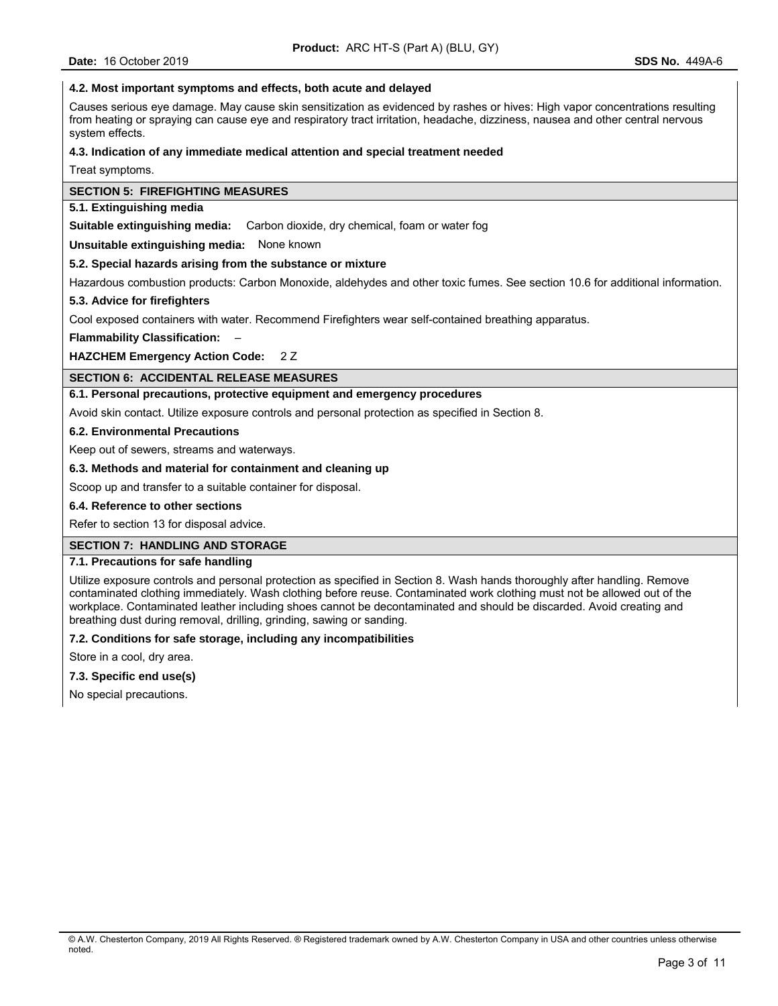### **4.2. Most important symptoms and effects, both acute and delayed**

Causes serious eye damage. May cause skin sensitization as evidenced by rashes or hives: High vapor concentrations resulting from heating or spraying can cause eye and respiratory tract irritation, headache, dizziness, nausea and other central nervous system effects.

#### **4.3. Indication of any immediate medical attention and special treatment needed**

Treat symptoms.

### **SECTION 5: FIREFIGHTING MEASURES**

# **5.1. Extinguishing media**

**Suitable extinguishing media:** Carbon dioxide, dry chemical, foam or water fog

**Unsuitable extinguishing media:** None known

#### **5.2. Special hazards arising from the substance or mixture**

Hazardous combustion products: Carbon Monoxide, aldehydes and other toxic fumes. See section 10.6 for additional information.

### **5.3. Advice for firefighters**

Cool exposed containers with water. Recommend Firefighters wear self-contained breathing apparatus.

**Flammability Classification:** –

**HAZCHEM Emergency Action Code:** 2 Z

### **SECTION 6: ACCIDENTAL RELEASE MEASURES**

### **6.1. Personal precautions, protective equipment and emergency procedures**

Avoid skin contact. Utilize exposure controls and personal protection as specified in Section 8.

### **6.2. Environmental Precautions**

Keep out of sewers, streams and waterways.

#### **6.3. Methods and material for containment and cleaning up**

Scoop up and transfer to a suitable container for disposal.

#### **6.4. Reference to other sections**

Refer to section 13 for disposal advice.

#### **SECTION 7: HANDLING AND STORAGE**

#### **7.1. Precautions for safe handling**

Utilize exposure controls and personal protection as specified in Section 8. Wash hands thoroughly after handling. Remove contaminated clothing immediately. Wash clothing before reuse. Contaminated work clothing must not be allowed out of the workplace. Contaminated leather including shoes cannot be decontaminated and should be discarded. Avoid creating and breathing dust during removal, drilling, grinding, sawing or sanding.

#### **7.2. Conditions for safe storage, including any incompatibilities**

Store in a cool, dry area.

### **7.3. Specific end use(s)**

No special precautions.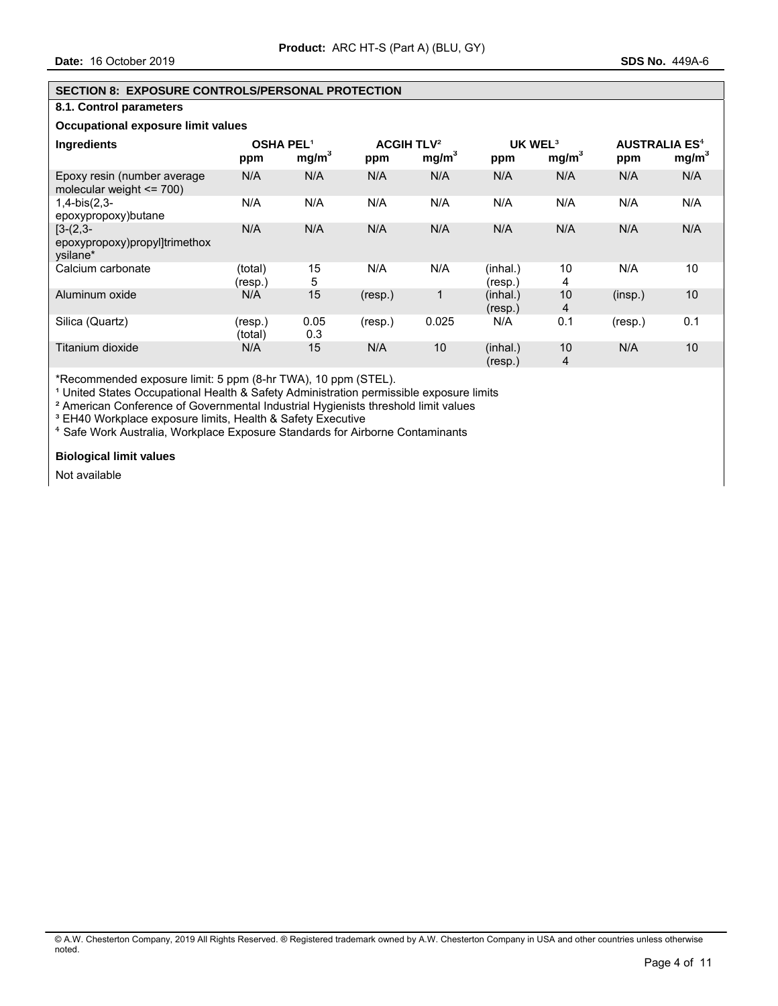# **SECTION 8: EXPOSURE CONTROLS/PERSONAL PROTECTION**

# **8.1. Control parameters**

# **Occupational exposure limit values**

| Ingredients                                                | <b>OSHA PEL1</b><br>ppm | mg/m <sup>3</sup> | <b>ACGIH TLV<sup>2</sup></b><br>ppm | mg/m <sup>3</sup> | UK WEL <sup>3</sup><br>ppm | mg/m <sup>3</sup> | <b>AUSTRALIA ES<sup>4</sup></b><br>ppm | mg/m <sup>3</sup> |
|------------------------------------------------------------|-------------------------|-------------------|-------------------------------------|-------------------|----------------------------|-------------------|----------------------------------------|-------------------|
| Epoxy resin (number average<br>molecular weight $\le$ 700) | N/A                     | N/A               | N/A                                 | N/A               | N/A                        | N/A               | N/A                                    | N/A               |
| $1,4-bis(2,3-$<br>epoxypropoxy)butane                      | N/A                     | N/A               | N/A                                 | N/A               | N/A                        | N/A               | N/A                                    | N/A               |
| $[3-(2,3-$<br>epoxypropoxy)propyl]trimethox<br>vsilane*    | N/A                     | N/A               | N/A                                 | N/A               | N/A                        | N/A               | N/A                                    | N/A               |
| Calcium carbonate                                          | (total)<br>(resp.)      | 15<br>5           | N/A                                 | N/A               | (inhal.)<br>(resp.)        | 10<br>4           | N/A                                    | 10                |
| Aluminum oxide                                             | N/A                     | 15                | (resp.)                             | 1                 | (inhal.)<br>(resp.)        | 10<br>4           | (insp.)                                | 10                |
| Silica (Quartz)                                            | (resp.)<br>(total)      | 0.05<br>0.3       | (resp.)                             | 0.025             | N/A                        | 0.1               | (resp.)                                | 0.1               |
| Titanium dioxide                                           | N/A                     | 15                | N/A                                 | 10                | (inhal.)<br>(resp.)        | 10<br>4           | N/A                                    | 10                |

\*Recommended exposure limit: 5 ppm (8-hr TWA), 10 ppm (STEL).

<sup>1</sup> United States Occupational Health & Safety Administration permissible exposure limits

² American Conference of Governmental Industrial Hygienists threshold limit values

<sup>3</sup> EH40 Workplace exposure limits, Health & Safety Executive

⁴ Safe Work Australia, Workplace Exposure Standards for Airborne Contaminants

### **Biological limit values**

Not available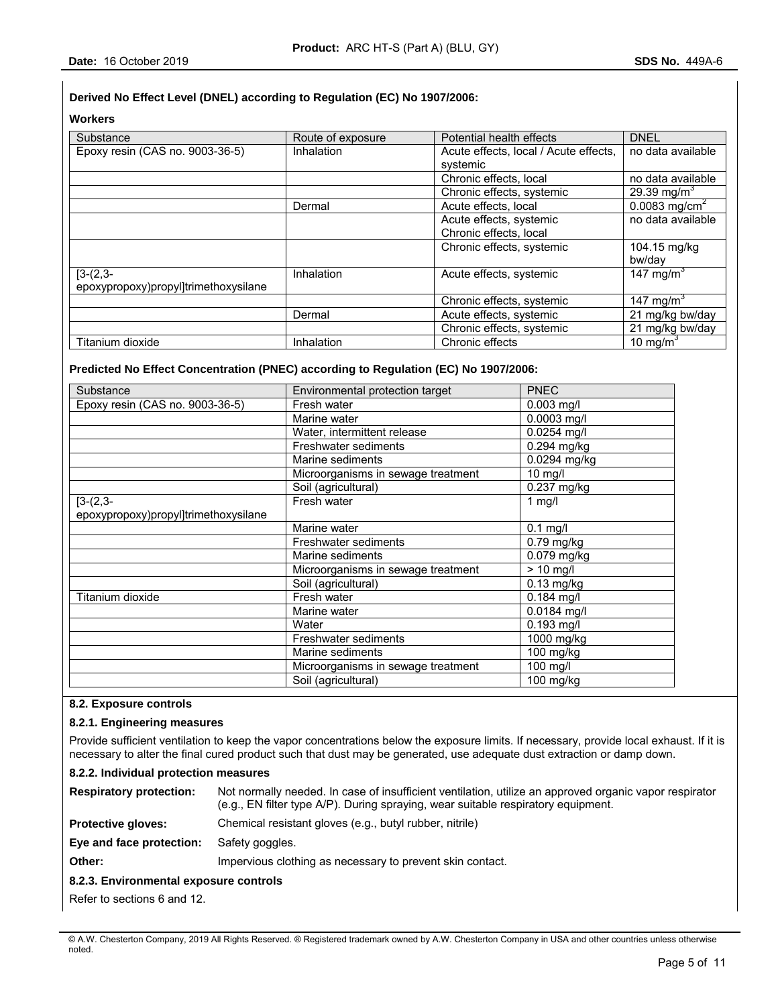# **Derived No Effect Level (DNEL) according to Regulation (EC) No 1907/2006:**

# **Workers**

| Substance                                          | Route of exposure | Potential health effects                          | <b>DNEL</b>                            |
|----------------------------------------------------|-------------------|---------------------------------------------------|----------------------------------------|
| Epoxy resin (CAS no. 9003-36-5)                    | Inhalation        | Acute effects, local / Acute effects,<br>systemic | no data available                      |
|                                                    |                   | Chronic effects, local                            | no data available                      |
|                                                    |                   | Chronic effects, systemic                         | 29.39 mg/m <sup>3</sup>                |
|                                                    | Dermal            | Acute effects, local                              | $\overline{0.0083}$ mg/cm <sup>2</sup> |
|                                                    |                   | Acute effects, systemic                           | no data available                      |
|                                                    |                   | Chronic effects, local                            |                                        |
|                                                    |                   | Chronic effects, systemic                         | 104.15 mg/kg<br>bw/day                 |
| $[3-(2,3-$<br>epoxypropoxy)propyl]trimethoxysilane | Inhalation        | Acute effects, systemic                           | 147 mg/m <sup>3</sup>                  |
|                                                    |                   | Chronic effects, systemic                         | 147 mg/m <sup>3</sup>                  |
|                                                    | Dermal            | Acute effects, systemic                           | 21 mg/kg bw/day                        |
|                                                    |                   | Chronic effects, systemic                         | 21 mg/kg bw/day                        |
| Titanium dioxide                                   | Inhalation        | Chronic effects                                   | 10 mg/m <sup>3</sup>                   |

# **Predicted No Effect Concentration (PNEC) according to Regulation (EC) No 1907/2006:**

| Substance                            | Environmental protection target    | <b>PNEC</b>       |
|--------------------------------------|------------------------------------|-------------------|
| Epoxy resin (CAS no. 9003-36-5)      | Fresh water                        | $0.003$ mg/l      |
|                                      | Marine water                       | 0.0003 mg/l       |
|                                      | Water, intermittent release        | $0.0254$ mg/l     |
|                                      | Freshwater sediments               | 0.294 mg/kg       |
|                                      | Marine sediments                   | 0.0294 mg/kg      |
|                                      | Microorganisms in sewage treatment | $10 \text{ mg/l}$ |
|                                      | Soil (agricultural)                | 0.237 mg/kg       |
| $[3-(2,3-$                           | Fresh water                        | 1 $mg/l$          |
| epoxypropoxy)propyl]trimethoxysilane |                                    |                   |
|                                      | Marine water                       | $0.1$ mg/l        |
|                                      | Freshwater sediments               | $0.79$ mg/kg      |
|                                      | Marine sediments                   | $0.079$ mg/kg     |
|                                      | Microorganisms in sewage treatment | $> 10$ mg/l       |
|                                      | Soil (agricultural)                | $0.13$ mg/kg      |
| Titanium dioxide                     | Fresh water                        | $0.184$ mg/l      |
|                                      | Marine water                       | 0.0184 mg/l       |
|                                      | Water                              | $0.193$ mg/l      |
|                                      | Freshwater sediments               | 1000 mg/kg        |
|                                      | Marine sediments                   | 100 mg/kg         |
|                                      | Microorganisms in sewage treatment | 100 mg/l          |
|                                      | Soil (agricultural)                | 100 mg/kg         |

### **8.2. Exposure controls**

### **8.2.1. Engineering measures**

Provide sufficient ventilation to keep the vapor concentrations below the exposure limits. If necessary, provide local exhaust. If it is necessary to alter the final cured product such that dust may be generated, use adequate dust extraction or damp down.

## **8.2.2. Individual protection measures**

| <b>Respiratory protection:</b>         | Not normally needed. In case of insufficient ventilation, utilize an approved organic vapor respirator<br>(e.g., EN filter type A/P). During spraying, wear suitable respiratory equipment. |  |  |  |
|----------------------------------------|---------------------------------------------------------------------------------------------------------------------------------------------------------------------------------------------|--|--|--|
| <b>Protective gloves:</b>              | Chemical resistant gloves (e.g., butyl rubber, nitrile)                                                                                                                                     |  |  |  |
| Eye and face protection:               | Safety goggles.                                                                                                                                                                             |  |  |  |
| Other:                                 | Impervious clothing as necessary to prevent skin contact.                                                                                                                                   |  |  |  |
| 8.2.3. Environmental exposure controls |                                                                                                                                                                                             |  |  |  |
| Refer to sections 6 and 12.            |                                                                                                                                                                                             |  |  |  |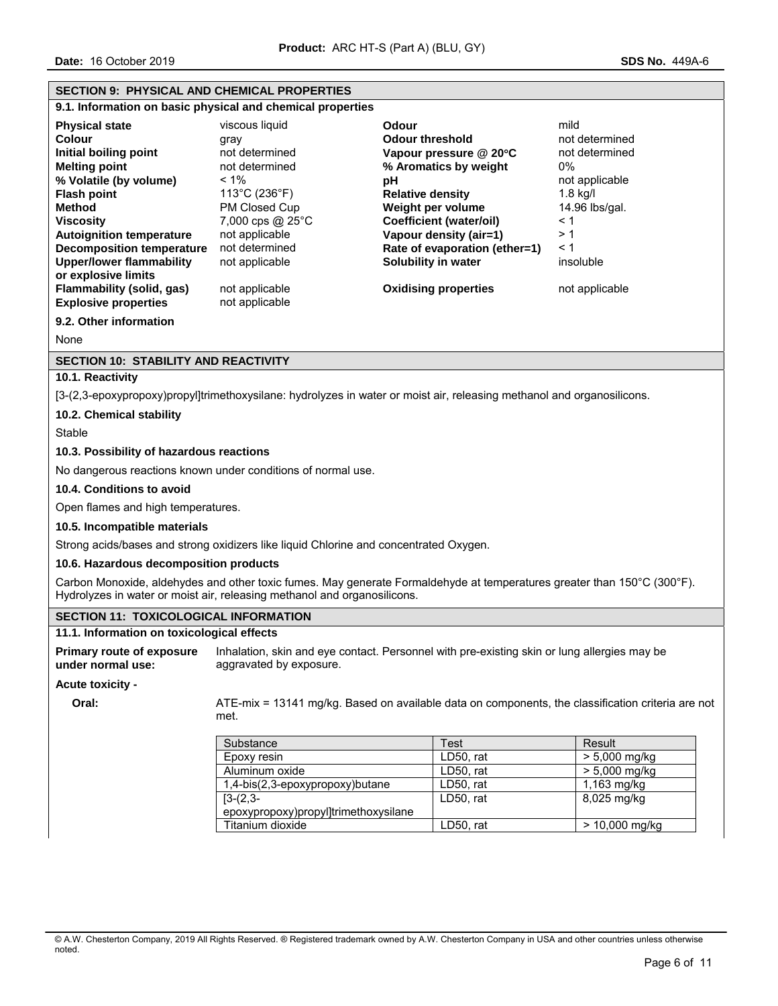# **SECTION 9: PHYSICAL AND CHEMICAL PROPERTIES**

**9.1. Information on basic physical and chemical properties** 

| <b>Physical state</b><br>Colour<br>Initial boiling point<br><b>Melting point</b><br>% Volatile (by volume)<br><b>Flash point</b><br><b>Method</b><br><b>Viscosity</b><br><b>Autoignition temperature</b><br>Decomposition temperature | viscous liquid<br>gray<br>not determined<br>not determined<br>$< 1\%$<br>113°C (236°F)<br>PM Closed Cup<br>7,000 cps $@$ 25 $°C$<br>not applicable<br>not determined | <b>Odour</b><br><b>Odour threshold</b><br>Vapour pressure @ 20°C<br>% Aromatics by weight<br>рH<br><b>Relative density</b><br>Weight per volume<br><b>Coefficient (water/oil)</b><br>Vapour density (air=1)<br>Rate of evaporation (ether=1) | mild<br>not determined<br>not determined<br>$0\%$<br>not applicable<br>$1.8$ kg/l<br>14.96 lbs/gal.<br>$\leq 1$<br>>1<br>← 1 |
|---------------------------------------------------------------------------------------------------------------------------------------------------------------------------------------------------------------------------------------|----------------------------------------------------------------------------------------------------------------------------------------------------------------------|----------------------------------------------------------------------------------------------------------------------------------------------------------------------------------------------------------------------------------------------|------------------------------------------------------------------------------------------------------------------------------|
| <b>Upper/lower flammability</b>                                                                                                                                                                                                       | not applicable                                                                                                                                                       | Solubility in water                                                                                                                                                                                                                          | insoluble                                                                                                                    |
| or explosive limits<br>Flammability (solid, gas)<br><b>Explosive properties</b>                                                                                                                                                       | not applicable<br>not applicable                                                                                                                                     | <b>Oxidising properties</b>                                                                                                                                                                                                                  | not applicable                                                                                                               |

**9.2. Other information** 

None

# **SECTION 10: STABILITY AND REACTIVITY**

# **10.1. Reactivity**

[3-(2,3-epoxypropoxy)propyl]trimethoxysilane: hydrolyzes in water or moist air, releasing methanol and organosilicons.

### **10.2. Chemical stability**

Stable

### **10.3. Possibility of hazardous reactions**

No dangerous reactions known under conditions of normal use.

### **10.4. Conditions to avoid**

Open flames and high temperatures.

#### **10.5. Incompatible materials**

Strong acids/bases and strong oxidizers like liquid Chlorine and concentrated Oxygen.

### **10.6. Hazardous decomposition products**

Carbon Monoxide, aldehydes and other toxic fumes. May generate Formaldehyde at temperatures greater than 150°C (300°F). Hydrolyzes in water or moist air, releasing methanol and organosilicons.

### **SECTION 11: TOXICOLOGICAL INFORMATION**

### **11.1. Information on toxicological effects**

**Primary route of exposure under normal use:**  Inhalation, skin and eye contact. Personnel with pre-existing skin or lung allergies may be aggravated by exposure.

#### **Acute toxicity -**

**Oral:** ATE-mix = 13141 mg/kg. Based on available data on components, the classification criteria are not met.

| Substance                            | Test      | Result           |
|--------------------------------------|-----------|------------------|
| Epoxy resin                          | LD50, rat | $> 5,000$ mg/kg  |
| Aluminum oxide                       | LD50, rat | $> 5,000$ mg/kg  |
| 1,4-bis(2,3-epoxypropoxy)butane      | LD50, rat | $1,163$ mg/kg    |
| $[3-(2,3)]$                          | LD50. rat | 8,025 mg/kg      |
| epoxypropoxy)propyl]trimethoxysilane |           |                  |
| Titanium dioxide                     | LD50. rat | $> 10,000$ mg/kg |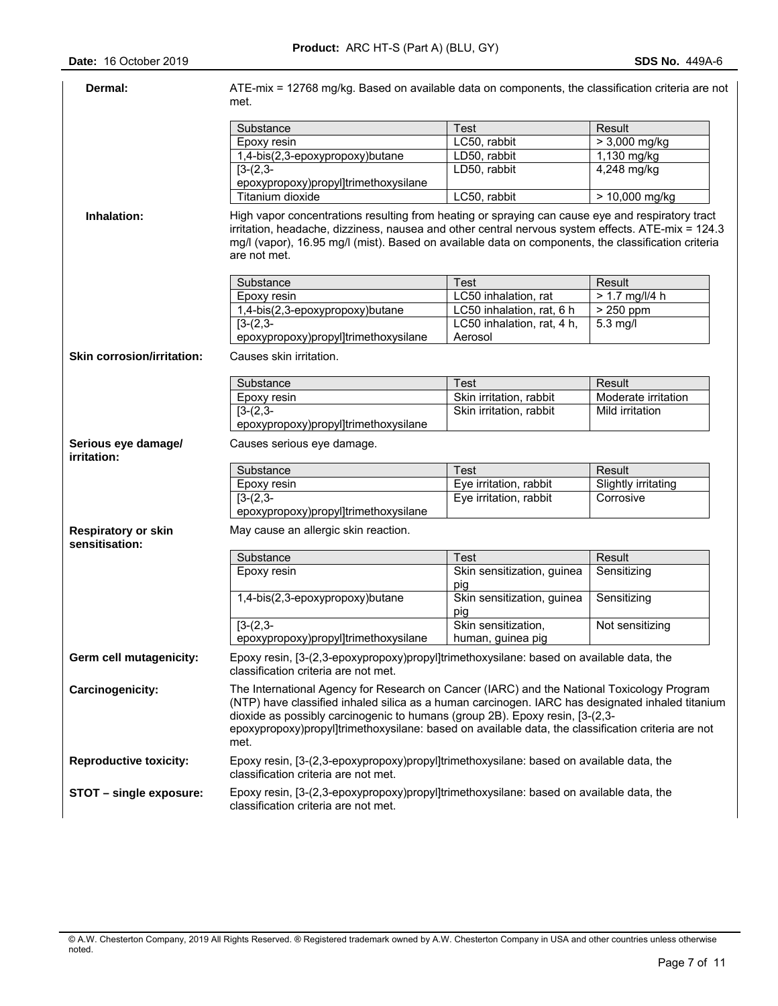| Dermal:                                      | ATE-mix = 12768 mg/kg. Based on available data on components, the classification criteria are not<br>met.                                                                                                                                                                                                                                                                                    |                                   |                           |
|----------------------------------------------|----------------------------------------------------------------------------------------------------------------------------------------------------------------------------------------------------------------------------------------------------------------------------------------------------------------------------------------------------------------------------------------------|-----------------------------------|---------------------------|
|                                              |                                                                                                                                                                                                                                                                                                                                                                                              |                                   |                           |
|                                              | Substance<br>Epoxy resin                                                                                                                                                                                                                                                                                                                                                                     | Test<br>LC50, rabbit              | Result<br>$> 3,000$ mg/kg |
|                                              | 1,4-bis(2,3-epoxypropoxy)butane                                                                                                                                                                                                                                                                                                                                                              | LD50, rabbit                      | 1,130 mg/kg               |
|                                              | $[3-(2,3-$                                                                                                                                                                                                                                                                                                                                                                                   | LD50, rabbit                      | 4,248 mg/kg               |
|                                              | epoxypropoxy)propyl]trimethoxysilane                                                                                                                                                                                                                                                                                                                                                         |                                   |                           |
|                                              | Titanium dioxide                                                                                                                                                                                                                                                                                                                                                                             | LC50, rabbit                      | > 10,000 mg/kg            |
| Inhalation:                                  | High vapor concentrations resulting from heating or spraying can cause eye and respiratory tract<br>irritation, headache, dizziness, nausea and other central nervous system effects. ATE-mix = 124.3<br>mg/l (vapor), 16.95 mg/l (mist). Based on available data on components, the classification criteria<br>are not met.                                                                 |                                   |                           |
|                                              | Substance                                                                                                                                                                                                                                                                                                                                                                                    | Test                              | Result                    |
|                                              | Epoxy resin                                                                                                                                                                                                                                                                                                                                                                                  | LC50 inhalation, rat              | $> 1.7$ mg/l/4 h          |
|                                              | 1,4-bis(2,3-epoxypropoxy)butane                                                                                                                                                                                                                                                                                                                                                              | LC50 inhalation, rat, 6 h         | > 250 ppm                 |
|                                              | $[3-(2,3-$                                                                                                                                                                                                                                                                                                                                                                                   | LC50 inhalation, rat, 4 h,        | $5.3$ mg/l                |
|                                              | epoxypropoxy)propyl]trimethoxysilane                                                                                                                                                                                                                                                                                                                                                         | Aerosol                           |                           |
| <b>Skin corrosion/irritation:</b>            | Causes skin irritation.                                                                                                                                                                                                                                                                                                                                                                      |                                   |                           |
|                                              | Substance                                                                                                                                                                                                                                                                                                                                                                                    | Test                              | Result                    |
|                                              | Epoxy resin                                                                                                                                                                                                                                                                                                                                                                                  | Skin irritation, rabbit           | Moderate irritation       |
|                                              | $[3-(2,3-$                                                                                                                                                                                                                                                                                                                                                                                   | Skin irritation, rabbit           | Mild irritation           |
|                                              | epoxypropoxy)propyl]trimethoxysilane                                                                                                                                                                                                                                                                                                                                                         |                                   |                           |
| Serious eye damage/<br>irritation:           | Causes serious eye damage.                                                                                                                                                                                                                                                                                                                                                                   |                                   |                           |
|                                              | Substance                                                                                                                                                                                                                                                                                                                                                                                    | <b>Test</b>                       | Result                    |
|                                              | Epoxy resin                                                                                                                                                                                                                                                                                                                                                                                  | Eye irritation, rabbit            | Slightly irritating       |
|                                              | $[3-(2,3-$                                                                                                                                                                                                                                                                                                                                                                                   | Eye irritation, rabbit            | Corrosive                 |
|                                              | epoxypropoxy)propyl]trimethoxysilane                                                                                                                                                                                                                                                                                                                                                         |                                   |                           |
| <b>Respiratory or skin</b><br>sensitisation: | May cause an allergic skin reaction.                                                                                                                                                                                                                                                                                                                                                         |                                   |                           |
|                                              | Substance                                                                                                                                                                                                                                                                                                                                                                                    | <b>Test</b>                       | Result                    |
|                                              | Epoxy resin                                                                                                                                                                                                                                                                                                                                                                                  | Skin sensitization, guinea<br>pig | Sensitizing               |
|                                              | 1,4-bis(2,3-epoxypropoxy)butane                                                                                                                                                                                                                                                                                                                                                              | Skin sensitization, guinea<br>pig | Sensitizing               |
|                                              | $\sqrt{3-(2,3-1)}$                                                                                                                                                                                                                                                                                                                                                                           | Skin sensitization,               | Not sensitizing           |
|                                              | epoxypropoxy)propyl]trimethoxysilane                                                                                                                                                                                                                                                                                                                                                         | human, guinea pig                 |                           |
| Germ cell mutagenicity:                      | Epoxy resin, [3-(2,3-epoxypropoxy)propyl]trimethoxysilane: based on available data, the<br>classification criteria are not met.                                                                                                                                                                                                                                                              |                                   |                           |
| Carcinogenicity:                             | The International Agency for Research on Cancer (IARC) and the National Toxicology Program<br>(NTP) have classified inhaled silica as a human carcinogen. IARC has designated inhaled titanium<br>dioxide as possibly carcinogenic to humans (group 2B). Epoxy resin, [3-(2,3-<br>epoxypropoxy)propyl]trimethoxysilane: based on available data, the classification criteria are not<br>met. |                                   |                           |
| <b>Reproductive toxicity:</b>                | Epoxy resin, [3-(2,3-epoxypropoxy)propyl]trimethoxysilane: based on available data, the<br>classification criteria are not met.                                                                                                                                                                                                                                                              |                                   |                           |
| STOT - single exposure:                      |                                                                                                                                                                                                                                                                                                                                                                                              |                                   |                           |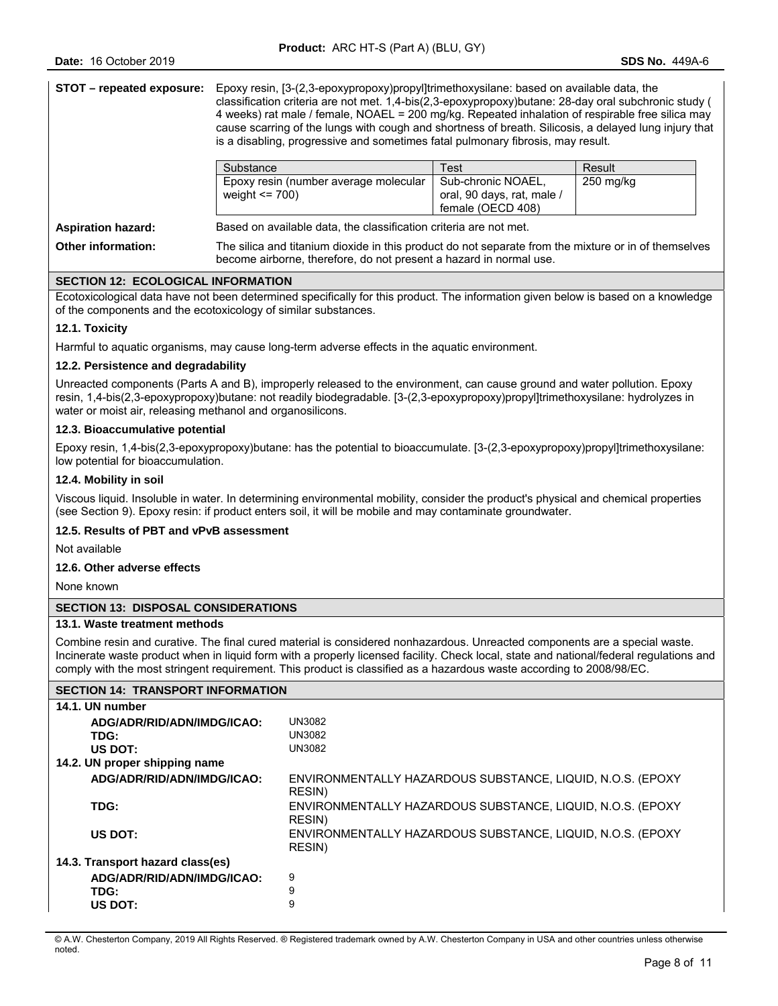| STOT – repeated exposure: | Epoxy resin, [3-(2,3-epoxypropoxy)propyl]trimethoxysilane: based on available data, the<br>classification criteria are not met. 1,4-bis(2,3-epoxypropoxy)butane: 28-day oral subchronic study (<br>4 weeks) rat male / female, NOAEL = 200 mg/kg. Repeated inhalation of respirable free silica may<br>cause scarring of the lungs with cough and shortness of breath. Silicosis, a delayed lung injury that<br>is a disabling, progressive and sometimes fatal pulmonary fibrosis, may result. |                                                                       |             |  |
|---------------------------|-------------------------------------------------------------------------------------------------------------------------------------------------------------------------------------------------------------------------------------------------------------------------------------------------------------------------------------------------------------------------------------------------------------------------------------------------------------------------------------------------|-----------------------------------------------------------------------|-------------|--|
|                           | Substance                                                                                                                                                                                                                                                                                                                                                                                                                                                                                       | Test                                                                  | Result      |  |
|                           | Epoxy resin (number average molecular<br>weight $\leq$ 700)                                                                                                                                                                                                                                                                                                                                                                                                                                     | Sub-chronic NOAEL,<br>oral, 90 days, rat, male /<br>female (OECD 408) | $250$ mg/kg |  |
| <b>Aspiration hazard:</b> | Based on available data, the classification criteria are not met.                                                                                                                                                                                                                                                                                                                                                                                                                               |                                                                       |             |  |
| <b>Other information:</b> | The silica and titanium dioxide in this product do not separate from the mixture or in of themselves<br>become airborne, therefore, do not present a hazard in normal use.                                                                                                                                                                                                                                                                                                                      |                                                                       |             |  |

# **SECTION 12: ECOLOGICAL INFORMATION**

Ecotoxicological data have not been determined specifically for this product. The information given below is based on a knowledge of the components and the ecotoxicology of similar substances.

#### **12.1. Toxicity**

Harmful to aquatic organisms, may cause long-term adverse effects in the aquatic environment.

# **12.2. Persistence and degradability**

Unreacted components (Parts A and B), improperly released to the environment, can cause ground and water pollution. Epoxy resin, 1,4-bis(2,3-epoxypropoxy)butane: not readily biodegradable. [3-(2,3-epoxypropoxy)propyl]trimethoxysilane: hydrolyzes in water or moist air, releasing methanol and organosilicons.

#### **12.3. Bioaccumulative potential**

Epoxy resin, 1,4-bis(2,3-epoxypropoxy)butane: has the potential to bioaccumulate. [3-(2,3-epoxypropoxy)propyl]trimethoxysilane: low potential for bioaccumulation.

### **12.4. Mobility in soil**

Viscous liquid. Insoluble in water. In determining environmental mobility, consider the product's physical and chemical properties (see Section 9). Epoxy resin: if product enters soil, it will be mobile and may contaminate groundwater.

# **12.5. Results of PBT and vPvB assessment**

Not available

# **12.6. Other adverse effects**

None known

### **SECTION 13: DISPOSAL CONSIDERATIONS**

### **13.1. Waste treatment methods**

Combine resin and curative. The final cured material is considered nonhazardous. Unreacted components are a special waste. Incinerate waste product when in liquid form with a properly licensed facility. Check local, state and national/federal regulations and comply with the most stringent requirement. This product is classified as a hazardous waste according to 2008/98/EC.

### **SECTION 14: TRANSPORT INFORMATION**

| 14.1. UN number                  |                                                                      |
|----------------------------------|----------------------------------------------------------------------|
| ADG/ADR/RID/ADN/IMDG/ICAO:       | UN3082                                                               |
| TDG:                             | UN3082                                                               |
| US DOT:                          | UN3082                                                               |
| 14.2. UN proper shipping name    |                                                                      |
| ADG/ADR/RID/ADN/IMDG/ICAO:       | ENVIRONMENTALLY HAZARDOUS SUBSTANCE, LIQUID, N.O.S. (EPOXY<br>RESIN) |
| TDG:                             | ENVIRONMENTALLY HAZARDOUS SUBSTANCE, LIQUID, N.O.S. (EPOXY<br>RESIN) |
| US DOT:                          | ENVIRONMENTALLY HAZARDOUS SUBSTANCE, LIQUID, N.O.S. (EPOXY<br>RESIN) |
| 14.3. Transport hazard class(es) |                                                                      |
| ADG/ADR/RID/ADN/IMDG/ICAO:       | 9                                                                    |
| TDG:                             | 9                                                                    |
| US DOT:                          | 9                                                                    |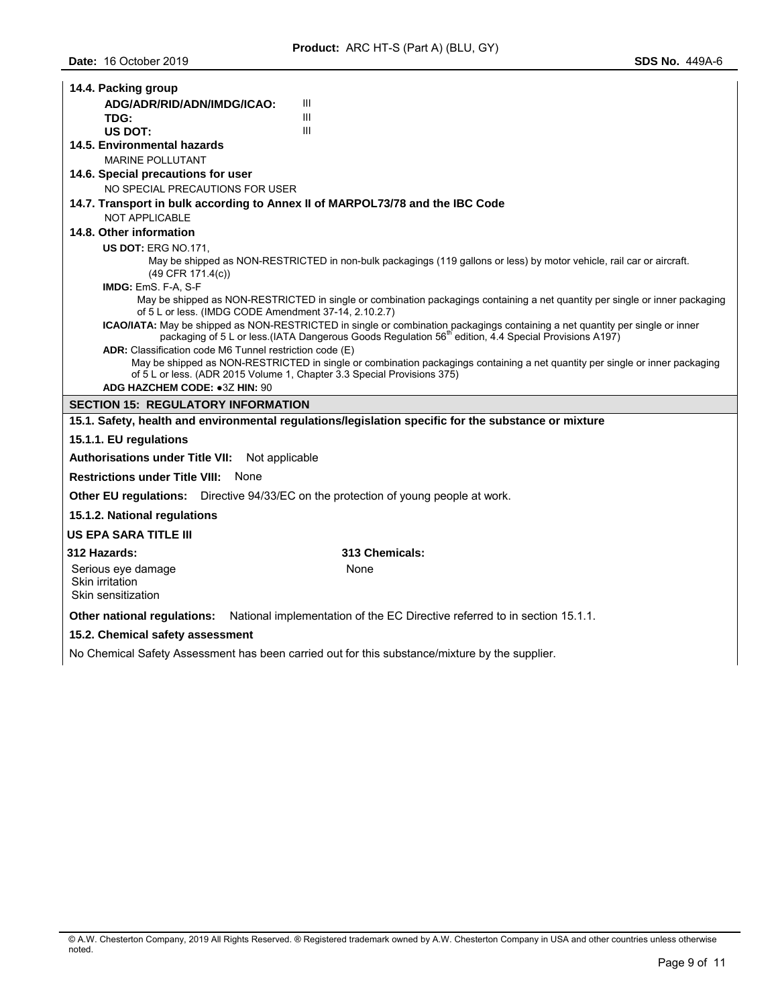| 14.4. Packing group                                         |                                                                                                                                                                                                                                                   |
|-------------------------------------------------------------|---------------------------------------------------------------------------------------------------------------------------------------------------------------------------------------------------------------------------------------------------|
| ADG/ADR/RID/ADN/IMDG/ICAO:                                  | Ш                                                                                                                                                                                                                                                 |
| TDG:                                                        | Ш                                                                                                                                                                                                                                                 |
| US DOT:                                                     | III                                                                                                                                                                                                                                               |
| 14.5. Environmental hazards                                 |                                                                                                                                                                                                                                                   |
| <b>MARINE POLLUTANT</b>                                     |                                                                                                                                                                                                                                                   |
| 14.6. Special precautions for user                          |                                                                                                                                                                                                                                                   |
| NO SPECIAL PRECAUTIONS FOR USER                             |                                                                                                                                                                                                                                                   |
|                                                             | 14.7. Transport in bulk according to Annex II of MARPOL73/78 and the IBC Code                                                                                                                                                                     |
| <b>NOT APPLICABLE</b><br>14.8. Other information            |                                                                                                                                                                                                                                                   |
|                                                             |                                                                                                                                                                                                                                                   |
| <b>US DOT: ERG NO.171.</b>                                  | May be shipped as NON-RESTRICTED in non-bulk packagings (119 gallons or less) by motor vehicle, rail car or aircraft.                                                                                                                             |
| (49 CFR 171.4(c))                                           |                                                                                                                                                                                                                                                   |
| IMDG: EmS. F-A, S-F                                         |                                                                                                                                                                                                                                                   |
|                                                             | May be shipped as NON-RESTRICTED in single or combination packagings containing a net quantity per single or inner packaging<br>of 5 L or less. (IMDG CODE Amendment 37-14, 2.10.2.7)                                                             |
|                                                             | ICAO/IATA: May be shipped as NON-RESTRICTED in single or combination packagings containing a net quantity per single or inner<br>packaging of 5 L or less (IATA Dangerous Goods Regulation 56 <sup>th</sup> edition, 4.4 Special Provisions A197) |
| ADR: Classification code M6 Tunnel restriction code (E)     |                                                                                                                                                                                                                                                   |
|                                                             | May be shipped as NON-RESTRICTED in single or combination packagings containing a net quantity per single or inner packaging                                                                                                                      |
|                                                             | of 5 L or less. (ADR 2015 Volume 1, Chapter 3.3 Special Provisions 375)                                                                                                                                                                           |
| ADG HAZCHEM CODE: • 3Z HIN: 90                              |                                                                                                                                                                                                                                                   |
| <b>SECTION 15: REGULATORY INFORMATION</b>                   |                                                                                                                                                                                                                                                   |
|                                                             | 15.1. Safety, health and environmental regulations/legislation specific for the substance or mixture                                                                                                                                              |
| 15.1.1. EU regulations                                      |                                                                                                                                                                                                                                                   |
| <b>Authorisations under Title VII:</b>                      | Not applicable                                                                                                                                                                                                                                    |
| <b>Restrictions under Title VIII: None</b>                  |                                                                                                                                                                                                                                                   |
|                                                             | Other EU regulations: Directive 94/33/EC on the protection of young people at work.                                                                                                                                                               |
| 15.1.2. National regulations                                |                                                                                                                                                                                                                                                   |
| <b>US EPA SARA TITLE III</b>                                |                                                                                                                                                                                                                                                   |
| 312 Hazards:                                                | 313 Chemicals:                                                                                                                                                                                                                                    |
| Serious eye damage<br>Skin irritation<br>Skin sensitization | None                                                                                                                                                                                                                                              |
| Other national regulations:                                 | National implementation of the EC Directive referred to in section 15.1.1.                                                                                                                                                                        |
| 15.2. Chemical safety assessment                            |                                                                                                                                                                                                                                                   |
|                                                             | No Chemical Safety Assessment has been carried out for this substance/mixture by the supplier.                                                                                                                                                    |

<sup>©</sup> A.W. Chesterton Company, 2019 All Rights Reserved. ® Registered trademark owned by A.W. Chesterton Company in USA and other countries unless otherwise noted.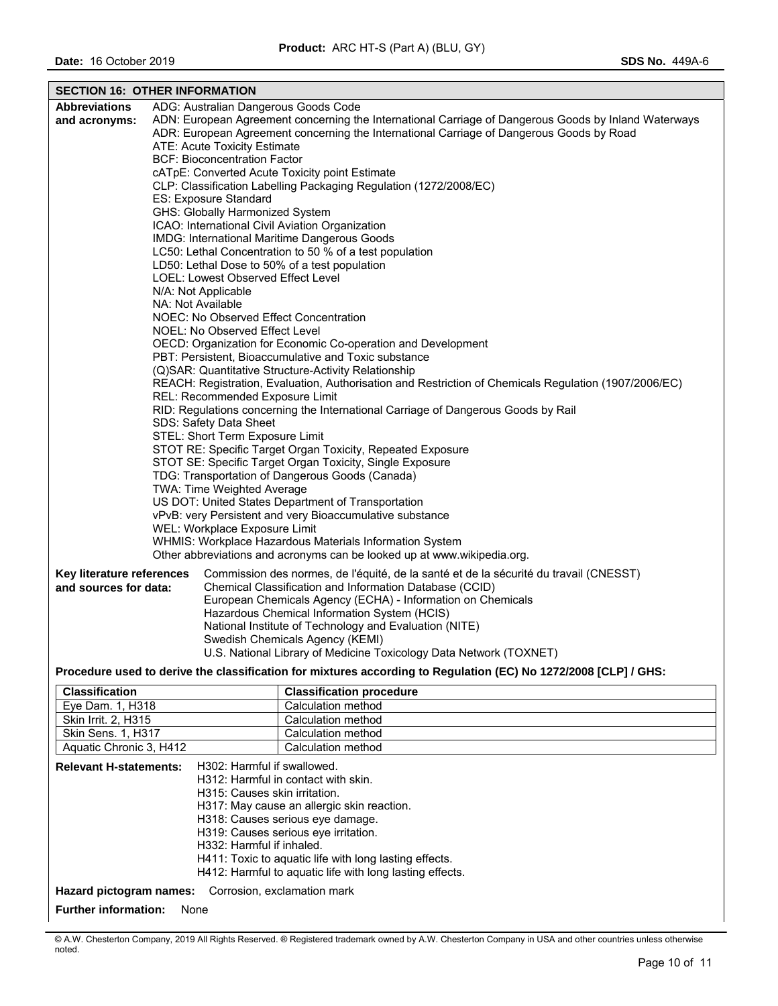| <b>SECTION 16: OTHER INFORMATION</b>                       |  |                                                                                                                                                  |  |  |
|------------------------------------------------------------|--|--------------------------------------------------------------------------------------------------------------------------------------------------|--|--|
| <b>Abbreviations</b>                                       |  | ADG: Australian Dangerous Goods Code                                                                                                             |  |  |
| and acronyms:                                              |  | ADN: European Agreement concerning the International Carriage of Dangerous Goods by Inland Waterways                                             |  |  |
|                                                            |  | ADR: European Agreement concerning the International Carriage of Dangerous Goods by Road                                                         |  |  |
|                                                            |  | ATE: Acute Toxicity Estimate                                                                                                                     |  |  |
|                                                            |  | <b>BCF: Bioconcentration Factor</b>                                                                                                              |  |  |
|                                                            |  | cATpE: Converted Acute Toxicity point Estimate                                                                                                   |  |  |
|                                                            |  | CLP: Classification Labelling Packaging Regulation (1272/2008/EC)                                                                                |  |  |
|                                                            |  | ES: Exposure Standard                                                                                                                            |  |  |
|                                                            |  | GHS: Globally Harmonized System                                                                                                                  |  |  |
|                                                            |  | ICAO: International Civil Aviation Organization<br>IMDG: International Maritime Dangerous Goods                                                  |  |  |
|                                                            |  | LC50: Lethal Concentration to 50 % of a test population                                                                                          |  |  |
|                                                            |  | LD50: Lethal Dose to 50% of a test population                                                                                                    |  |  |
|                                                            |  | LOEL: Lowest Observed Effect Level                                                                                                               |  |  |
|                                                            |  | N/A: Not Applicable                                                                                                                              |  |  |
|                                                            |  | NA: Not Available                                                                                                                                |  |  |
|                                                            |  | NOEC: No Observed Effect Concentration                                                                                                           |  |  |
|                                                            |  | NOEL: No Observed Effect Level                                                                                                                   |  |  |
|                                                            |  | OECD: Organization for Economic Co-operation and Development                                                                                     |  |  |
|                                                            |  | PBT: Persistent, Bioaccumulative and Toxic substance                                                                                             |  |  |
|                                                            |  | (Q)SAR: Quantitative Structure-Activity Relationship                                                                                             |  |  |
|                                                            |  | REACH: Registration, Evaluation, Authorisation and Restriction of Chemicals Regulation (1907/2006/EC)                                            |  |  |
|                                                            |  | REL: Recommended Exposure Limit                                                                                                                  |  |  |
|                                                            |  | RID: Regulations concerning the International Carriage of Dangerous Goods by Rail                                                                |  |  |
|                                                            |  | SDS: Safety Data Sheet                                                                                                                           |  |  |
|                                                            |  | STEL: Short Term Exposure Limit                                                                                                                  |  |  |
| STOT RE: Specific Target Organ Toxicity, Repeated Exposure |  |                                                                                                                                                  |  |  |
| STOT SE: Specific Target Organ Toxicity, Single Exposure   |  |                                                                                                                                                  |  |  |
|                                                            |  | TDG: Transportation of Dangerous Goods (Canada)                                                                                                  |  |  |
|                                                            |  | TWA: Time Weighted Average<br>US DOT: United States Department of Transportation                                                                 |  |  |
|                                                            |  | vPvB: very Persistent and very Bioaccumulative substance                                                                                         |  |  |
|                                                            |  | WEL: Workplace Exposure Limit                                                                                                                    |  |  |
|                                                            |  | WHMIS: Workplace Hazardous Materials Information System                                                                                          |  |  |
|                                                            |  | Other abbreviations and acronyms can be looked up at www.wikipedia.org.                                                                          |  |  |
|                                                            |  |                                                                                                                                                  |  |  |
| Key literature references<br>and sources for data:         |  | Commission des normes, de l'équité, de la santé et de la sécurité du travail (CNESST)<br>Chemical Classification and Information Database (CCID) |  |  |
|                                                            |  | European Chemicals Agency (ECHA) - Information on Chemicals                                                                                      |  |  |
|                                                            |  | Hazardous Chemical Information System (HCIS)                                                                                                     |  |  |
|                                                            |  | National Institute of Technology and Evaluation (NITE)                                                                                           |  |  |
|                                                            |  | Swedish Chemicals Agency (KEMI)                                                                                                                  |  |  |
|                                                            |  | U.S. National Library of Medicine Toxicology Data Network (TOXNET)                                                                               |  |  |
|                                                            |  | Procedure used to derive the classification for mixtures according to Regulation (EC) No 1272/2008 [CLP] / GHS:                                  |  |  |
| <b>Classification</b>                                      |  | <b>Classification procedure</b>                                                                                                                  |  |  |
| Eye Dam. 1, H318                                           |  | Calculation method                                                                                                                               |  |  |
| Skin Irrit. 2, H315                                        |  | Calculation method                                                                                                                               |  |  |
| Skin Sens. 1, H317                                         |  | Calculation method                                                                                                                               |  |  |
| Aquatic Chronic 3, H412                                    |  | Calculation method                                                                                                                               |  |  |
|                                                            |  | Relevant H-statements: H302: Harmful if swallowed.                                                                                               |  |  |

© A.W. Chesterton Company, 2019 All Rights Reserved. ® Registered trademark owned by A.W. Chesterton Company in USA and other countries unless otherwise noted.

H312: Harmful in contact with skin. H315: Causes skin irritation.

H332: Harmful if inhaled.

**Hazard pictogram names:** Corrosion, exclamation mark

**Further information:** None

H317: May cause an allergic skin reaction. H318: Causes serious eye damage. H319: Causes serious eye irritation.

H411: Toxic to aquatic life with long lasting effects. H412: Harmful to aquatic life with long lasting effects.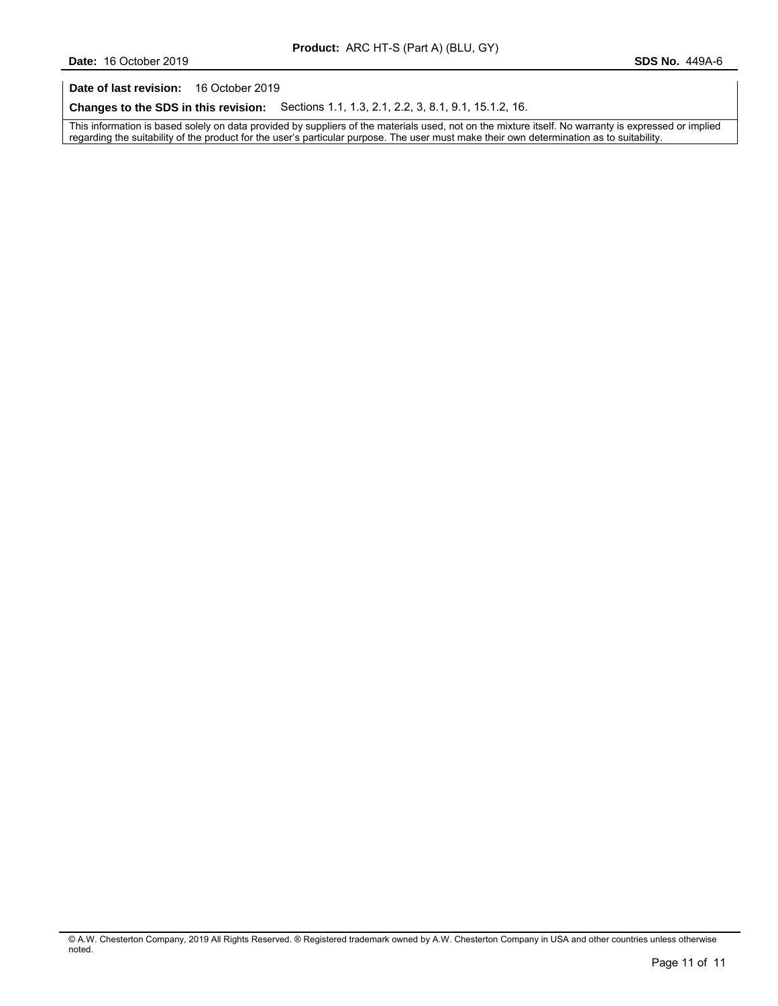**Date of last revision:** 16 October 2019

**Changes to the SDS in this revision:** Sections 1.1, 1.3, 2.1, 2.2, 3, 8.1, 9.1, 15.1.2, 16.

This information is based solely on data provided by suppliers of the materials used, not on the mixture itself. No warranty is expressed or implied regarding the suitability of the product for the user's particular purpose. The user must make their own determination as to suitability.

<sup>©</sup> A.W. Chesterton Company, 2019 All Rights Reserved. ® Registered trademark owned by A.W. Chesterton Company in USA and other countries unless otherwise noted.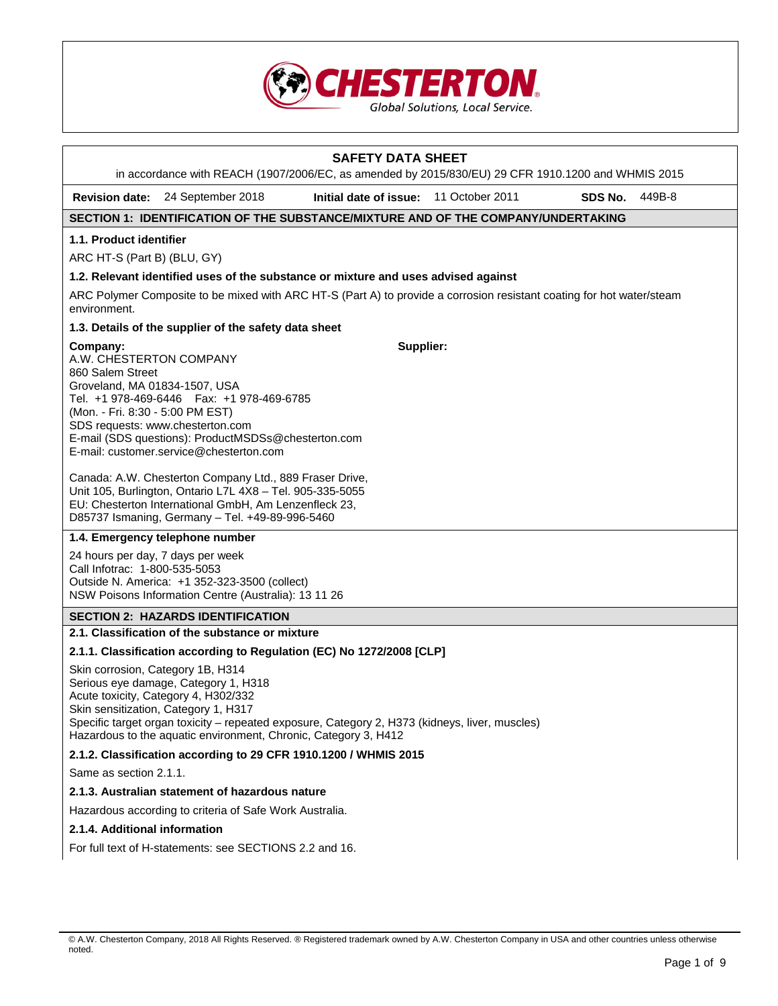

|                                                                                                                              |                                                                                                                                                                                                                                                                                                                                | <b>SAFETY DATA SHEET</b> |                 |         |        |
|------------------------------------------------------------------------------------------------------------------------------|--------------------------------------------------------------------------------------------------------------------------------------------------------------------------------------------------------------------------------------------------------------------------------------------------------------------------------|--------------------------|-----------------|---------|--------|
|                                                                                                                              | in accordance with REACH (1907/2006/EC, as amended by 2015/830/EU) 29 CFR 1910.1200 and WHMIS 2015                                                                                                                                                                                                                             |                          |                 |         |        |
| <b>Revision date:</b>                                                                                                        | 24 September 2018                                                                                                                                                                                                                                                                                                              | Initial date of issue:   | 11 October 2011 | SDS No. | 449B-8 |
|                                                                                                                              | SECTION 1: IDENTIFICATION OF THE SUBSTANCE/MIXTURE AND OF THE COMPANY/UNDERTAKING                                                                                                                                                                                                                                              |                          |                 |         |        |
| 1.1. Product identifier                                                                                                      |                                                                                                                                                                                                                                                                                                                                |                          |                 |         |        |
| ARC HT-S (Part B) (BLU, GY)                                                                                                  |                                                                                                                                                                                                                                                                                                                                |                          |                 |         |        |
|                                                                                                                              | 1.2. Relevant identified uses of the substance or mixture and uses advised against                                                                                                                                                                                                                                             |                          |                 |         |        |
| environment.                                                                                                                 | ARC Polymer Composite to be mixed with ARC HT-S (Part A) to provide a corrosion resistant coating for hot water/steam                                                                                                                                                                                                          |                          |                 |         |        |
|                                                                                                                              | 1.3. Details of the supplier of the safety data sheet                                                                                                                                                                                                                                                                          |                          |                 |         |        |
| Company:<br>A.W. CHESTERTON COMPANY<br>860 Salem Street<br>Groveland, MA 01834-1507, USA<br>(Mon. - Fri. 8:30 - 5:00 PM EST) | Tel. +1 978-469-6446    Fax: +1 978-469-6785<br>SDS requests: www.chesterton.com<br>E-mail (SDS questions): ProductMSDSs@chesterton.com<br>E-mail: customer.service@chesterton.com                                                                                                                                             | Supplier:                |                 |         |        |
|                                                                                                                              | Canada: A.W. Chesterton Company Ltd., 889 Fraser Drive,<br>Unit 105, Burlington, Ontario L7L 4X8 - Tel. 905-335-5055<br>EU: Chesterton International GmbH, Am Lenzenfleck 23,<br>D85737 Ismaning, Germany - Tel. +49-89-996-5460                                                                                               |                          |                 |         |        |
|                                                                                                                              | 1.4. Emergency telephone number                                                                                                                                                                                                                                                                                                |                          |                 |         |        |
| Call Infotrac: 1-800-535-5053                                                                                                | 24 hours per day, 7 days per week<br>Outside N. America: +1 352-323-3500 (collect)<br>NSW Poisons Information Centre (Australia): 13 11 26                                                                                                                                                                                     |                          |                 |         |        |
|                                                                                                                              | <b>SECTION 2: HAZARDS IDENTIFICATION</b>                                                                                                                                                                                                                                                                                       |                          |                 |         |        |
|                                                                                                                              | 2.1. Classification of the substance or mixture                                                                                                                                                                                                                                                                                |                          |                 |         |        |
|                                                                                                                              | 2.1.1. Classification according to Regulation (EC) No 1272/2008 [CLP]                                                                                                                                                                                                                                                          |                          |                 |         |        |
|                                                                                                                              | Skin corrosion, Category 1B, H314<br>Serious eye damage, Category 1, H318<br>Acute toxicity, Category 4, H302/332<br>Skin sensitization, Category 1, H317<br>Specific target organ toxicity - repeated exposure, Category 2, H373 (kidneys, liver, muscles)<br>Hazardous to the aquatic environment, Chronic, Category 3, H412 |                          |                 |         |        |
|                                                                                                                              | 2.1.2. Classification according to 29 CFR 1910.1200 / WHMIS 2015                                                                                                                                                                                                                                                               |                          |                 |         |        |
| Same as section 2.1.1.                                                                                                       |                                                                                                                                                                                                                                                                                                                                |                          |                 |         |        |
|                                                                                                                              | 2.1.3. Australian statement of hazardous nature                                                                                                                                                                                                                                                                                |                          |                 |         |        |
|                                                                                                                              | Hazardous according to criteria of Safe Work Australia.                                                                                                                                                                                                                                                                        |                          |                 |         |        |
| 2.1.4. Additional information                                                                                                |                                                                                                                                                                                                                                                                                                                                |                          |                 |         |        |

For full text of H-statements: see SECTIONS 2.2 and 16.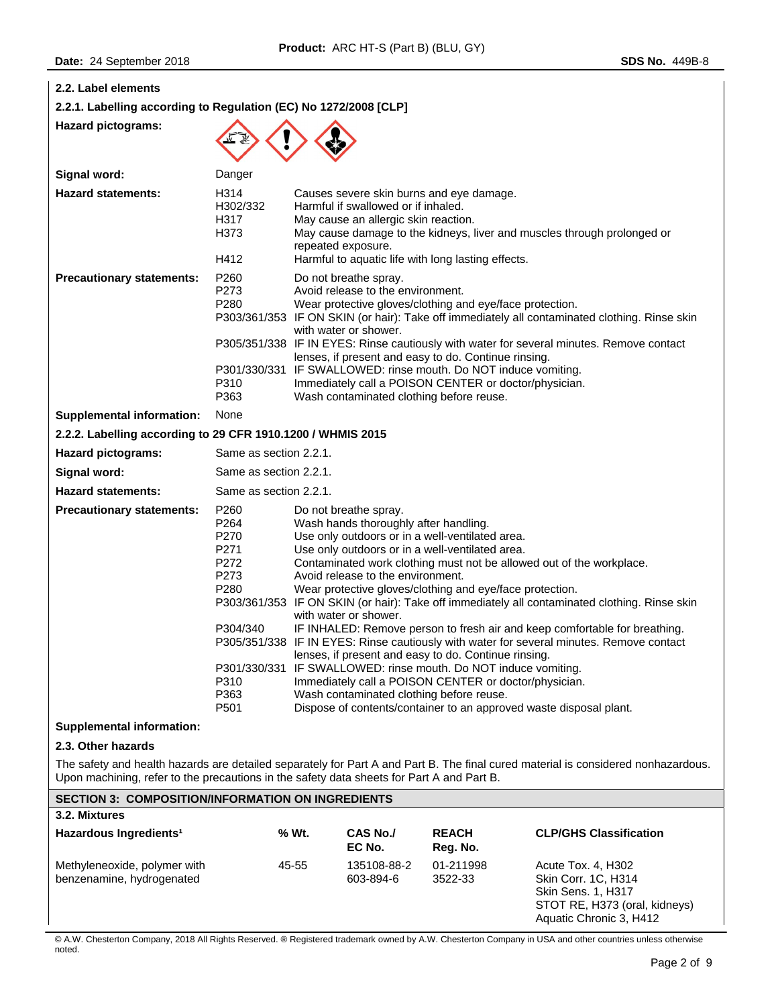| 2.2. Label elements                                                                       |                                                                                                                      |                                                                                                                                                                                                                                                                                                                                                                                                                                                                                                                                                                                                                                                                                                                                                                                                                                                                                                                                            |                                                                                                   |                                                                                                                                                                                                                              |                                                                                                                                                                                           |
|-------------------------------------------------------------------------------------------|----------------------------------------------------------------------------------------------------------------------|--------------------------------------------------------------------------------------------------------------------------------------------------------------------------------------------------------------------------------------------------------------------------------------------------------------------------------------------------------------------------------------------------------------------------------------------------------------------------------------------------------------------------------------------------------------------------------------------------------------------------------------------------------------------------------------------------------------------------------------------------------------------------------------------------------------------------------------------------------------------------------------------------------------------------------------------|---------------------------------------------------------------------------------------------------|------------------------------------------------------------------------------------------------------------------------------------------------------------------------------------------------------------------------------|-------------------------------------------------------------------------------------------------------------------------------------------------------------------------------------------|
| 2.2.1. Labelling according to Regulation (EC) No 1272/2008 [CLP]                          |                                                                                                                      |                                                                                                                                                                                                                                                                                                                                                                                                                                                                                                                                                                                                                                                                                                                                                                                                                                                                                                                                            |                                                                                                   |                                                                                                                                                                                                                              |                                                                                                                                                                                           |
| <b>Hazard pictograms:</b>                                                                 |                                                                                                                      |                                                                                                                                                                                                                                                                                                                                                                                                                                                                                                                                                                                                                                                                                                                                                                                                                                                                                                                                            |                                                                                                   |                                                                                                                                                                                                                              |                                                                                                                                                                                           |
| Signal word:                                                                              | Danger                                                                                                               |                                                                                                                                                                                                                                                                                                                                                                                                                                                                                                                                                                                                                                                                                                                                                                                                                                                                                                                                            |                                                                                                   |                                                                                                                                                                                                                              |                                                                                                                                                                                           |
| <b>Hazard statements:</b>                                                                 | H314<br>H302/332<br>H317<br>H373<br>H412                                                                             |                                                                                                                                                                                                                                                                                                                                                                                                                                                                                                                                                                                                                                                                                                                                                                                                                                                                                                                                            | Harmful if swallowed or if inhaled.<br>May cause an allergic skin reaction.<br>repeated exposure. | Causes severe skin burns and eye damage.<br>Harmful to aquatic life with long lasting effects.                                                                                                                               | May cause damage to the kidneys, liver and muscles through prolonged or                                                                                                                   |
| <b>Precautionary statements:</b>                                                          | P260<br>P273<br>P280                                                                                                 |                                                                                                                                                                                                                                                                                                                                                                                                                                                                                                                                                                                                                                                                                                                                                                                                                                                                                                                                            | Do not breathe spray.<br>Avoid release to the environment.<br>with water or shower.               | Wear protective gloves/clothing and eye/face protection.                                                                                                                                                                     | P303/361/353 IF ON SKIN (or hair): Take off immediately all contaminated clothing. Rinse skin<br>P305/351/338 IF IN EYES: Rinse cautiously with water for several minutes. Remove contact |
|                                                                                           | P310<br>P363                                                                                                         |                                                                                                                                                                                                                                                                                                                                                                                                                                                                                                                                                                                                                                                                                                                                                                                                                                                                                                                                            |                                                                                                   | lenses, if present and easy to do. Continue rinsing.<br>P301/330/331 IF SWALLOWED: rinse mouth. Do NOT induce vomiting.<br>Immediately call a POISON CENTER or doctor/physician.<br>Wash contaminated clothing before reuse. |                                                                                                                                                                                           |
| <b>Supplemental information:</b>                                                          | None                                                                                                                 |                                                                                                                                                                                                                                                                                                                                                                                                                                                                                                                                                                                                                                                                                                                                                                                                                                                                                                                                            |                                                                                                   |                                                                                                                                                                                                                              |                                                                                                                                                                                           |
| 2.2.2. Labelling according to 29 CFR 1910.1200 / WHMIS 2015                               |                                                                                                                      |                                                                                                                                                                                                                                                                                                                                                                                                                                                                                                                                                                                                                                                                                                                                                                                                                                                                                                                                            |                                                                                                   |                                                                                                                                                                                                                              |                                                                                                                                                                                           |
| <b>Hazard pictograms:</b>                                                                 | Same as section 2.2.1.                                                                                               |                                                                                                                                                                                                                                                                                                                                                                                                                                                                                                                                                                                                                                                                                                                                                                                                                                                                                                                                            |                                                                                                   |                                                                                                                                                                                                                              |                                                                                                                                                                                           |
| Signal word:                                                                              | Same as section 2.2.1.                                                                                               |                                                                                                                                                                                                                                                                                                                                                                                                                                                                                                                                                                                                                                                                                                                                                                                                                                                                                                                                            |                                                                                                   |                                                                                                                                                                                                                              |                                                                                                                                                                                           |
| <b>Hazard statements:</b>                                                                 |                                                                                                                      | Same as section 2.2.1.                                                                                                                                                                                                                                                                                                                                                                                                                                                                                                                                                                                                                                                                                                                                                                                                                                                                                                                     |                                                                                                   |                                                                                                                                                                                                                              |                                                                                                                                                                                           |
| <b>Precautionary statements:</b>                                                          | P260<br>P264<br>P270<br>P271<br>P272<br>P273<br>P280<br>P304/340<br>P301/330/331<br>P310<br>P363<br>P <sub>501</sub> | Do not breathe spray.<br>Wash hands thoroughly after handling.<br>Use only outdoors or in a well-ventilated area.<br>Use only outdoors or in a well-ventilated area.<br>Contaminated work clothing must not be allowed out of the workplace.<br>Avoid release to the environment.<br>Wear protective gloves/clothing and eye/face protection.<br>P303/361/353 IF ON SKIN (or hair): Take off immediately all contaminated clothing. Rinse skin<br>with water or shower.<br>IF INHALED: Remove person to fresh air and keep comfortable for breathing.<br>P305/351/338 IF IN EYES: Rinse cautiously with water for several minutes. Remove contact<br>lenses, if present and easy to do. Continue rinsing.<br>IF SWALLOWED: rinse mouth. Do NOT induce vomiting.<br>Immediately call a POISON CENTER or doctor/physician.<br>Wash contaminated clothing before reuse.<br>Dispose of contents/container to an approved waste disposal plant. |                                                                                                   |                                                                                                                                                                                                                              |                                                                                                                                                                                           |
| <b>Supplemental information:</b>                                                          |                                                                                                                      |                                                                                                                                                                                                                                                                                                                                                                                                                                                                                                                                                                                                                                                                                                                                                                                                                                                                                                                                            |                                                                                                   |                                                                                                                                                                                                                              |                                                                                                                                                                                           |
| 2.3. Other hazards                                                                        |                                                                                                                      |                                                                                                                                                                                                                                                                                                                                                                                                                                                                                                                                                                                                                                                                                                                                                                                                                                                                                                                                            |                                                                                                   |                                                                                                                                                                                                                              |                                                                                                                                                                                           |
| Upon machining, refer to the precautions in the safety data sheets for Part A and Part B. |                                                                                                                      |                                                                                                                                                                                                                                                                                                                                                                                                                                                                                                                                                                                                                                                                                                                                                                                                                                                                                                                                            |                                                                                                   |                                                                                                                                                                                                                              | The safety and health hazards are detailed separately for Part A and Part B. The final cured material is considered nonhazardous.                                                         |
| <b>SECTION 3: COMPOSITION/INFORMATION ON INGREDIENTS</b>                                  |                                                                                                                      |                                                                                                                                                                                                                                                                                                                                                                                                                                                                                                                                                                                                                                                                                                                                                                                                                                                                                                                                            |                                                                                                   |                                                                                                                                                                                                                              |                                                                                                                                                                                           |
| 3.2. Mixtures                                                                             |                                                                                                                      |                                                                                                                                                                                                                                                                                                                                                                                                                                                                                                                                                                                                                                                                                                                                                                                                                                                                                                                                            |                                                                                                   |                                                                                                                                                                                                                              |                                                                                                                                                                                           |
| Hazardous Ingredients <sup>1</sup>                                                        |                                                                                                                      | % Wt.                                                                                                                                                                                                                                                                                                                                                                                                                                                                                                                                                                                                                                                                                                                                                                                                                                                                                                                                      | CAS No./<br>EC No.                                                                                | <b>REACH</b><br>Reg. No.                                                                                                                                                                                                     | <b>CLP/GHS Classification</b>                                                                                                                                                             |
| Methyleneoxide, polymer with<br>benzenamine, hydrogenated                                 |                                                                                                                      | 45-55                                                                                                                                                                                                                                                                                                                                                                                                                                                                                                                                                                                                                                                                                                                                                                                                                                                                                                                                      | 135108-88-2<br>603-894-6                                                                          | 01-211998<br>3522-33                                                                                                                                                                                                         | Acute Tox. 4, H302<br>Skin Corr. 1C, H314<br>Skin Sens. 1, H317<br>STOT RE, H373 (oral, kidneys)<br>Aquatic Chronic 3, H412                                                               |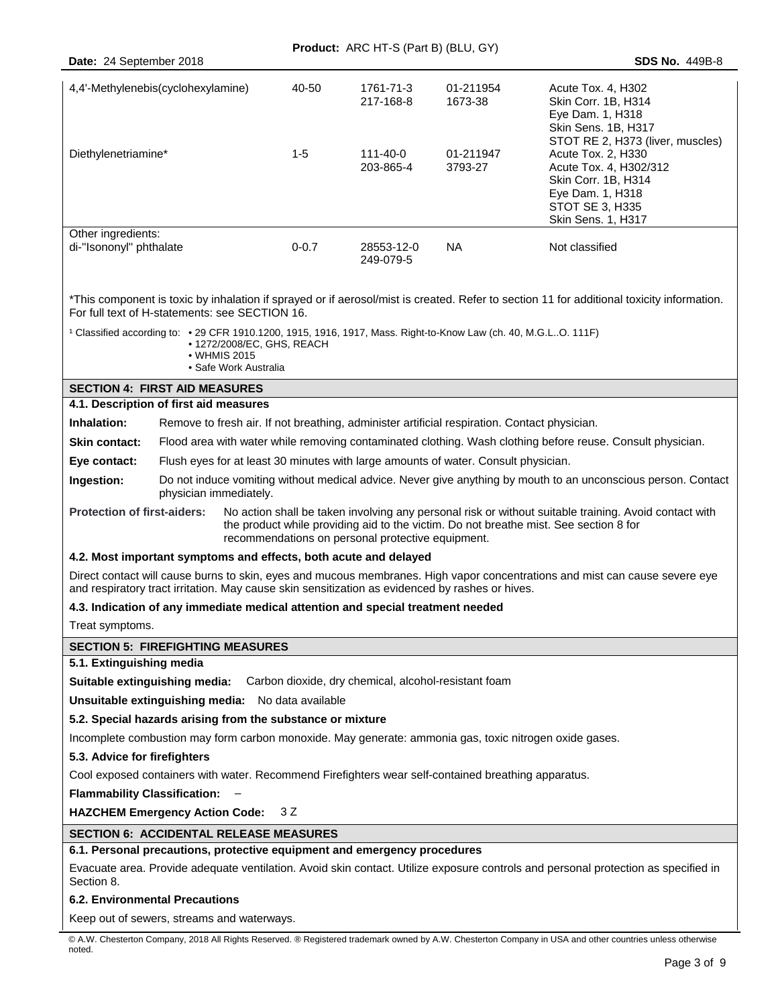|                                                                                                                                                                                                                                                                                           |                                                                                                                                                                                                            |                                                                     |                        | Product: ARC HT-S (Part B) (BLU, GY) |                                                                                                                 |                                                                                                                                                                      |  |
|-------------------------------------------------------------------------------------------------------------------------------------------------------------------------------------------------------------------------------------------------------------------------------------------|------------------------------------------------------------------------------------------------------------------------------------------------------------------------------------------------------------|---------------------------------------------------------------------|------------------------|--------------------------------------|-----------------------------------------------------------------------------------------------------------------|----------------------------------------------------------------------------------------------------------------------------------------------------------------------|--|
| Date: 24 September 2018                                                                                                                                                                                                                                                                   |                                                                                                                                                                                                            |                                                                     |                        |                                      |                                                                                                                 | <b>SDS No. 449B-8</b>                                                                                                                                                |  |
| 4,4'-Methylenebis(cyclohexylamine)                                                                                                                                                                                                                                                        |                                                                                                                                                                                                            | 40-50                                                               | 1761-71-3<br>217-168-8 | 01-211954<br>1673-38                 | Acute Tox. 4, H302<br>Skin Corr. 1B, H314<br>Eye Dam. 1, H318<br>Skin Sens. 1B, H317                            |                                                                                                                                                                      |  |
| Diethylenetriamine*                                                                                                                                                                                                                                                                       |                                                                                                                                                                                                            |                                                                     | $1 - 5$                | 111-40-0<br>203-865-4                | 01-211947<br>3793-27                                                                                            | STOT RE 2, H373 (liver, muscles)<br>Acute Tox. 2, H330<br>Acute Tox. 4, H302/312<br>Skin Corr. 1B, H314<br>Eye Dam. 1, H318<br>STOT SE 3, H335<br>Skin Sens. 1, H317 |  |
| Other ingredients:<br>di-"Isononyl" phthalate                                                                                                                                                                                                                                             |                                                                                                                                                                                                            |                                                                     | $0 - 0.7$              | 28553-12-0<br>249-079-5              | NA.                                                                                                             | Not classified                                                                                                                                                       |  |
| For full text of H-statements: see SECTION 16.                                                                                                                                                                                                                                            |                                                                                                                                                                                                            |                                                                     |                        |                                      |                                                                                                                 | *This component is toxic by inhalation if sprayed or if aerosol/mist is created. Refer to section 11 for additional toxicity information.                            |  |
|                                                                                                                                                                                                                                                                                           |                                                                                                                                                                                                            | • 1272/2008/EC, GHS, REACH<br>• WHMIS 2015<br>• Safe Work Australia |                        |                                      | 1 Classified according to: • 29 CFR 1910.1200, 1915, 1916, 1917, Mass. Right-to-Know Law (ch. 40, M.G.LO. 111F) |                                                                                                                                                                      |  |
| <b>SECTION 4: FIRST AID MEASURES</b>                                                                                                                                                                                                                                                      |                                                                                                                                                                                                            |                                                                     |                        |                                      |                                                                                                                 |                                                                                                                                                                      |  |
| 4.1. Description of first aid measures                                                                                                                                                                                                                                                    |                                                                                                                                                                                                            |                                                                     |                        |                                      |                                                                                                                 |                                                                                                                                                                      |  |
| Inhalation:                                                                                                                                                                                                                                                                               |                                                                                                                                                                                                            |                                                                     |                        |                                      |                                                                                                                 |                                                                                                                                                                      |  |
| <b>Skin contact:</b>                                                                                                                                                                                                                                                                      | Remove to fresh air. If not breathing, administer artificial respiration. Contact physician.<br>Flood area with water while removing contaminated clothing. Wash clothing before reuse. Consult physician. |                                                                     |                        |                                      |                                                                                                                 |                                                                                                                                                                      |  |
| Eye contact:                                                                                                                                                                                                                                                                              | Flush eyes for at least 30 minutes with large amounts of water. Consult physician.                                                                                                                         |                                                                     |                        |                                      |                                                                                                                 |                                                                                                                                                                      |  |
| Ingestion:                                                                                                                                                                                                                                                                                | Do not induce vomiting without medical advice. Never give anything by mouth to an unconscious person. Contact<br>physician immediately.                                                                    |                                                                     |                        |                                      |                                                                                                                 |                                                                                                                                                                      |  |
| No action shall be taken involving any personal risk or without suitable training. Avoid contact with<br><b>Protection of first-aiders:</b><br>the product while providing aid to the victim. Do not breathe mist. See section 8 for<br>recommendations on personal protective equipment. |                                                                                                                                                                                                            |                                                                     |                        |                                      |                                                                                                                 |                                                                                                                                                                      |  |
| 4.2. Most important symptoms and effects, both acute and delayed                                                                                                                                                                                                                          |                                                                                                                                                                                                            |                                                                     |                        |                                      |                                                                                                                 |                                                                                                                                                                      |  |
| Direct contact will cause burns to skin, eyes and mucous membranes. High vapor concentrations and mist can cause severe eye<br>and respiratory tract irritation. May cause skin sensitization as evidenced by rashes or hives.                                                            |                                                                                                                                                                                                            |                                                                     |                        |                                      |                                                                                                                 |                                                                                                                                                                      |  |
| 4.3. Indication of any immediate medical attention and special treatment needed                                                                                                                                                                                                           |                                                                                                                                                                                                            |                                                                     |                        |                                      |                                                                                                                 |                                                                                                                                                                      |  |
| Treat symptoms.                                                                                                                                                                                                                                                                           |                                                                                                                                                                                                            |                                                                     |                        |                                      |                                                                                                                 |                                                                                                                                                                      |  |
| <b>SECTION 5: FIREFIGHTING MEASURES</b>                                                                                                                                                                                                                                                   |                                                                                                                                                                                                            |                                                                     |                        |                                      |                                                                                                                 |                                                                                                                                                                      |  |
| 5.1. Extinguishing media                                                                                                                                                                                                                                                                  |                                                                                                                                                                                                            |                                                                     |                        |                                      |                                                                                                                 |                                                                                                                                                                      |  |
| Suitable extinguishing media: Carbon dioxide, dry chemical, alcohol-resistant foam                                                                                                                                                                                                        |                                                                                                                                                                                                            |                                                                     |                        |                                      |                                                                                                                 |                                                                                                                                                                      |  |
| Unsuitable extinguishing media: No data available                                                                                                                                                                                                                                         |                                                                                                                                                                                                            |                                                                     |                        |                                      |                                                                                                                 |                                                                                                                                                                      |  |
| 5.2. Special hazards arising from the substance or mixture                                                                                                                                                                                                                                |                                                                                                                                                                                                            |                                                                     |                        |                                      |                                                                                                                 |                                                                                                                                                                      |  |
|                                                                                                                                                                                                                                                                                           |                                                                                                                                                                                                            |                                                                     |                        |                                      |                                                                                                                 | Incomplete combustion may form carbon monoxide. May generate: ammonia gas, toxic nitrogen oxide gases.                                                               |  |
| 5.3. Advice for firefighters                                                                                                                                                                                                                                                              |                                                                                                                                                                                                            |                                                                     |                        |                                      |                                                                                                                 |                                                                                                                                                                      |  |
|                                                                                                                                                                                                                                                                                           |                                                                                                                                                                                                            |                                                                     |                        |                                      | Cool exposed containers with water. Recommend Firefighters wear self-contained breathing apparatus.             |                                                                                                                                                                      |  |
| <b>Flammability Classification:</b>                                                                                                                                                                                                                                                       |                                                                                                                                                                                                            |                                                                     |                        |                                      |                                                                                                                 |                                                                                                                                                                      |  |
| <b>HAZCHEM Emergency Action Code:</b>                                                                                                                                                                                                                                                     |                                                                                                                                                                                                            |                                                                     | 3 Z                    |                                      |                                                                                                                 |                                                                                                                                                                      |  |
| <b>SECTION 6: ACCIDENTAL RELEASE MEASURES</b>                                                                                                                                                                                                                                             |                                                                                                                                                                                                            |                                                                     |                        |                                      |                                                                                                                 |                                                                                                                                                                      |  |
| 6.1. Personal precautions, protective equipment and emergency procedures                                                                                                                                                                                                                  |                                                                                                                                                                                                            |                                                                     |                        |                                      |                                                                                                                 |                                                                                                                                                                      |  |
| Section 8.                                                                                                                                                                                                                                                                                |                                                                                                                                                                                                            |                                                                     |                        |                                      |                                                                                                                 | Evacuate area. Provide adequate ventilation. Avoid skin contact. Utilize exposure controls and personal protection as specified in                                   |  |
| <b>6.2. Environmental Precautions</b>                                                                                                                                                                                                                                                     |                                                                                                                                                                                                            |                                                                     |                        |                                      |                                                                                                                 |                                                                                                                                                                      |  |

Keep out of sewers, streams and waterways.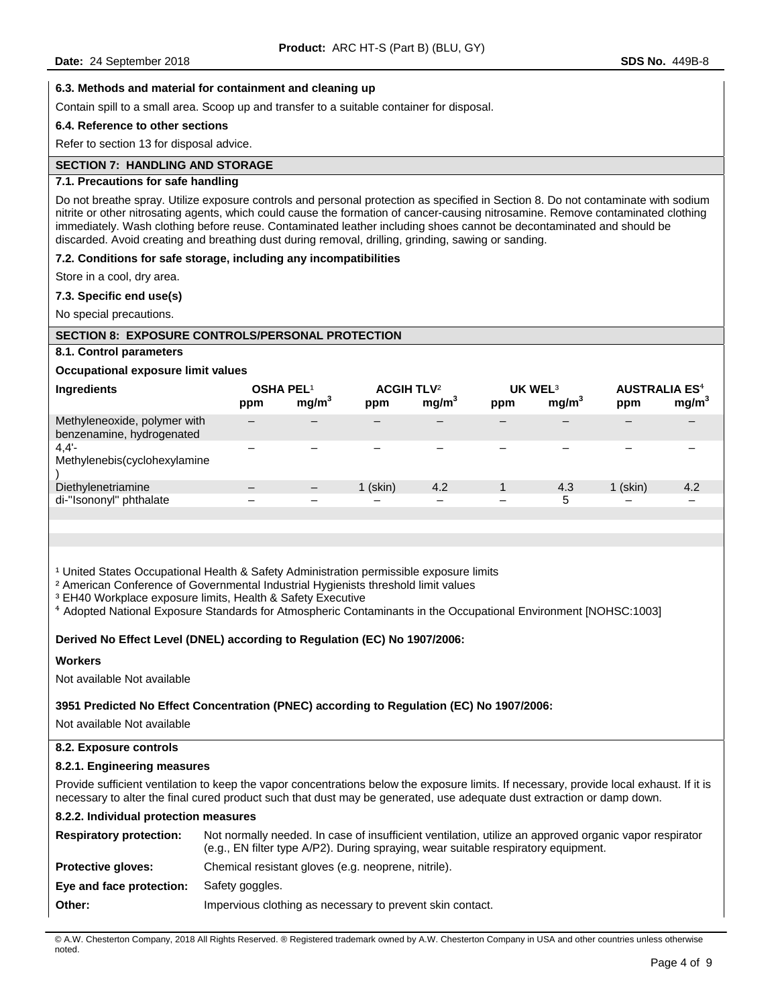### **6.3. Methods and material for containment and cleaning up**

Contain spill to a small area. Scoop up and transfer to a suitable container for disposal.

### **6.4. Reference to other sections**

Refer to section 13 for disposal advice.

# **SECTION 7: HANDLING AND STORAGE**

# **7.1. Precautions for safe handling**

Do not breathe spray. Utilize exposure controls and personal protection as specified in Section 8. Do not contaminate with sodium nitrite or other nitrosating agents, which could cause the formation of cancer-causing nitrosamine. Remove contaminated clothing immediately. Wash clothing before reuse. Contaminated leather including shoes cannot be decontaminated and should be discarded. Avoid creating and breathing dust during removal, drilling, grinding, sawing or sanding.

#### **7.2. Conditions for safe storage, including any incompatibilities**

Store in a cool, dry area.

#### **7.3. Specific end use(s)**

No special precautions.

#### **SECTION 8: EXPOSURE CONTROLS/PERSONAL PROTECTION**

# **8.1. Control parameters**

### **Occupational exposure limit values**

| Ingredients                                               | <b>OSHA PEL1</b> |                   | <b>ACGIH TLV<sup>2</sup></b> |                   | UK WEL <sup>3</sup> |                   | <b>AUSTRALIA ES<sup>4</sup></b> |                   |
|-----------------------------------------------------------|------------------|-------------------|------------------------------|-------------------|---------------------|-------------------|---------------------------------|-------------------|
|                                                           | ppm              | mg/m <sup>3</sup> | ppm                          | mg/m <sup>3</sup> | ppm                 | mg/m <sup>3</sup> | ppm                             | mg/m <sup>3</sup> |
| Methyleneoxide, polymer with<br>benzenamine, hydrogenated |                  |                   |                              |                   |                     |                   |                                 |                   |
| 4.4'<br>Methylenebis(cyclohexylamine                      |                  |                   |                              |                   |                     |                   |                                 |                   |
| Diethylenetriamine                                        |                  |                   | $1$ (skin)                   | 4.2               |                     | 4.3               | $1$ (skin)                      | 4.2               |
| di-"Isononyl" phthalate                                   |                  |                   |                              |                   |                     | 5                 |                                 |                   |
|                                                           |                  |                   |                              |                   |                     |                   |                                 |                   |

<sup>1</sup> United States Occupational Health & Safety Administration permissible exposure limits

² American Conference of Governmental Industrial Hygienists threshold limit values

<sup>3</sup> EH40 Workplace exposure limits, Health & Safety Executive

⁴ Adopted National Exposure Standards for Atmospheric Contaminants in the Occupational Environment [NOHSC:1003]

# **Derived No Effect Level (DNEL) according to Regulation (EC) No 1907/2006:**

#### **Workers**

Not available Not available

#### **3951 Predicted No Effect Concentration (PNEC) according to Regulation (EC) No 1907/2006:**

Not available Not available

### **8.2. Exposure controls**

#### **8.2.1. Engineering measures**

Provide sufficient ventilation to keep the vapor concentrations below the exposure limits. If necessary, provide local exhaust. If it is necessary to alter the final cured product such that dust may be generated, use adequate dust extraction or damp down.

# **8.2.2. Individual protection measures**

| <b>Respiratory protection:</b> | Not normally needed. In case of insufficient ventilation, utilize an approved organic vapor respirator<br>(e.g., EN filter type A/P2). During spraying, wear suitable respiratory equipment. |
|--------------------------------|----------------------------------------------------------------------------------------------------------------------------------------------------------------------------------------------|
| <b>Protective gloves:</b>      | Chemical resistant gloves (e.g. neoprene, nitrile).                                                                                                                                          |
| Eye and face protection:       | Safety goggles.                                                                                                                                                                              |
| Other:                         | Impervious clothing as necessary to prevent skin contact.                                                                                                                                    |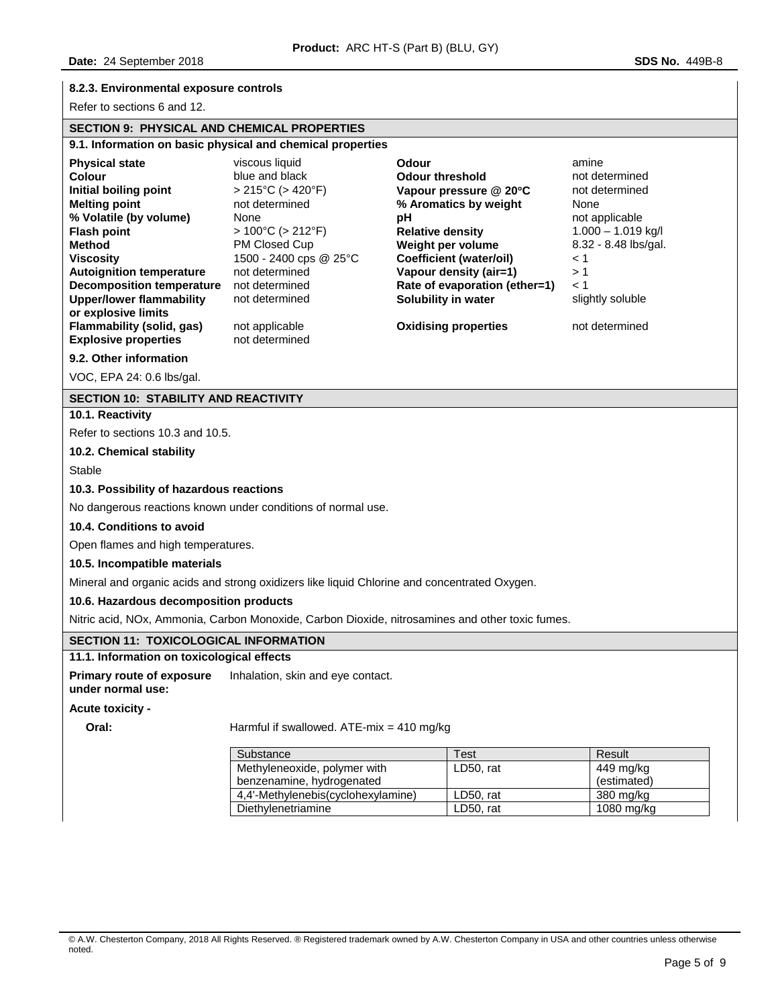# **8.2.3. Environmental exposure controls**

Refer to sections 6 and 12.

# **SECTION 9: PHYSICAL AND CHEMICAL PROPERTIES**

| 9.1. Information on basic physical and chemical properties                                                                                                                                                                                                                                                                                                                       |                                                                                                                                                                                                                                                                                   |                                                                                                                                                                                                                                                                                             |                                                                                                                                                                               |  |  |  |  |
|----------------------------------------------------------------------------------------------------------------------------------------------------------------------------------------------------------------------------------------------------------------------------------------------------------------------------------------------------------------------------------|-----------------------------------------------------------------------------------------------------------------------------------------------------------------------------------------------------------------------------------------------------------------------------------|---------------------------------------------------------------------------------------------------------------------------------------------------------------------------------------------------------------------------------------------------------------------------------------------|-------------------------------------------------------------------------------------------------------------------------------------------------------------------------------|--|--|--|--|
| <b>Physical state</b><br><b>Colour</b><br>Initial boiling point<br><b>Melting point</b><br>% Volatile (by volume)<br><b>Flash point</b><br><b>Method</b><br><b>Viscosity</b><br><b>Autoignition temperature</b><br><b>Decomposition temperature</b><br><b>Upper/lower flammability</b><br>or explosive limits<br><b>Flammability (solid, gas)</b><br><b>Explosive properties</b> | viscous liquid<br>blue and black<br>$> 215^{\circ}$ C ( $> 420^{\circ}$ F)<br>not determined<br>None<br>$>100^{\circ}$ C ( $>212^{\circ}$ F)<br>PM Closed Cup<br>1500 - 2400 cps @ 25°C<br>not determined<br>not determined<br>not determined<br>not applicable<br>not determined | Odour<br><b>Odour threshold</b><br>Vapour pressure @ 20°C<br>% Aromatics by weight<br>рH<br><b>Relative density</b><br>Weight per volume<br><b>Coefficient (water/oil)</b><br>Vapour density (air=1)<br>Rate of evaporation (ether=1)<br>Solubility in water<br><b>Oxidising properties</b> | amine<br>not determined<br>not determined<br>None<br>not applicable<br>$1.000 - 1.019$ kg/l<br>8.32 - 8.48 lbs/gal.<br>< 1<br>>1<br>< 1<br>slightly soluble<br>not determined |  |  |  |  |
| 9.2. Other information<br>VOC, EPA 24: 0.6 lbs/gal.                                                                                                                                                                                                                                                                                                                              |                                                                                                                                                                                                                                                                                   |                                                                                                                                                                                                                                                                                             |                                                                                                                                                                               |  |  |  |  |
| <b>SECTION 10: STABILITY AND REACTIVITY</b>                                                                                                                                                                                                                                                                                                                                      |                                                                                                                                                                                                                                                                                   |                                                                                                                                                                                                                                                                                             |                                                                                                                                                                               |  |  |  |  |
| 10.1. Reactivity                                                                                                                                                                                                                                                                                                                                                                 |                                                                                                                                                                                                                                                                                   |                                                                                                                                                                                                                                                                                             |                                                                                                                                                                               |  |  |  |  |
| Refer to sections 10.3 and 10.5.                                                                                                                                                                                                                                                                                                                                                 |                                                                                                                                                                                                                                                                                   |                                                                                                                                                                                                                                                                                             |                                                                                                                                                                               |  |  |  |  |
| 10.2. Chemical stability                                                                                                                                                                                                                                                                                                                                                         |                                                                                                                                                                                                                                                                                   |                                                                                                                                                                                                                                                                                             |                                                                                                                                                                               |  |  |  |  |
| <b>Stable</b>                                                                                                                                                                                                                                                                                                                                                                    |                                                                                                                                                                                                                                                                                   |                                                                                                                                                                                                                                                                                             |                                                                                                                                                                               |  |  |  |  |
| 10.3. Possibility of hazardous reactions                                                                                                                                                                                                                                                                                                                                         |                                                                                                                                                                                                                                                                                   |                                                                                                                                                                                                                                                                                             |                                                                                                                                                                               |  |  |  |  |
| No dangerous reactions known under conditions of normal use.                                                                                                                                                                                                                                                                                                                     |                                                                                                                                                                                                                                                                                   |                                                                                                                                                                                                                                                                                             |                                                                                                                                                                               |  |  |  |  |
| 10.4. Conditions to avoid                                                                                                                                                                                                                                                                                                                                                        |                                                                                                                                                                                                                                                                                   |                                                                                                                                                                                                                                                                                             |                                                                                                                                                                               |  |  |  |  |
|                                                                                                                                                                                                                                                                                                                                                                                  | Open flames and high temperatures.                                                                                                                                                                                                                                                |                                                                                                                                                                                                                                                                                             |                                                                                                                                                                               |  |  |  |  |
| 10.5. Incompatible materials                                                                                                                                                                                                                                                                                                                                                     |                                                                                                                                                                                                                                                                                   |                                                                                                                                                                                                                                                                                             |                                                                                                                                                                               |  |  |  |  |
|                                                                                                                                                                                                                                                                                                                                                                                  | Mineral and organic acids and strong oxidizers like liquid Chlorine and concentrated Oxygen.                                                                                                                                                                                      |                                                                                                                                                                                                                                                                                             |                                                                                                                                                                               |  |  |  |  |
| 10.6. Hazardous decomposition products                                                                                                                                                                                                                                                                                                                                           |                                                                                                                                                                                                                                                                                   |                                                                                                                                                                                                                                                                                             |                                                                                                                                                                               |  |  |  |  |
|                                                                                                                                                                                                                                                                                                                                                                                  | Nitric acid, NOx, Ammonia, Carbon Monoxide, Carbon Dioxide, nitrosamines and other toxic fumes.                                                                                                                                                                                   |                                                                                                                                                                                                                                                                                             |                                                                                                                                                                               |  |  |  |  |
| <b>SECTION 11: TOXICOLOGICAL INFORMATION</b>                                                                                                                                                                                                                                                                                                                                     |                                                                                                                                                                                                                                                                                   |                                                                                                                                                                                                                                                                                             |                                                                                                                                                                               |  |  |  |  |
| 11.1. Information on toxicological effects                                                                                                                                                                                                                                                                                                                                       |                                                                                                                                                                                                                                                                                   |                                                                                                                                                                                                                                                                                             |                                                                                                                                                                               |  |  |  |  |
| <b>Primary route of exposure</b><br>under normal use:                                                                                                                                                                                                                                                                                                                            | Inhalation, skin and eye contact.                                                                                                                                                                                                                                                 |                                                                                                                                                                                                                                                                                             |                                                                                                                                                                               |  |  |  |  |
| <b>Acute toxicity -</b>                                                                                                                                                                                                                                                                                                                                                          |                                                                                                                                                                                                                                                                                   |                                                                                                                                                                                                                                                                                             |                                                                                                                                                                               |  |  |  |  |
| Oral:                                                                                                                                                                                                                                                                                                                                                                            | Harmful if swallowed. ATE-mix = 410 mg/kg                                                                                                                                                                                                                                         |                                                                                                                                                                                                                                                                                             |                                                                                                                                                                               |  |  |  |  |
|                                                                                                                                                                                                                                                                                                                                                                                  | Substance                                                                                                                                                                                                                                                                         | Test                                                                                                                                                                                                                                                                                        | Result                                                                                                                                                                        |  |  |  |  |
|                                                                                                                                                                                                                                                                                                                                                                                  | Methyleneoxide, polymer with                                                                                                                                                                                                                                                      | LD50, rat                                                                                                                                                                                                                                                                                   | 449 mg/kg                                                                                                                                                                     |  |  |  |  |

4,4'-Methylenebis(cyclohexylamine) LD50, rat 380 mg/kg Diethylenetriamine | LD50, rat | 1080 mg/kg

benzenamine, hydrogenated

(estimated)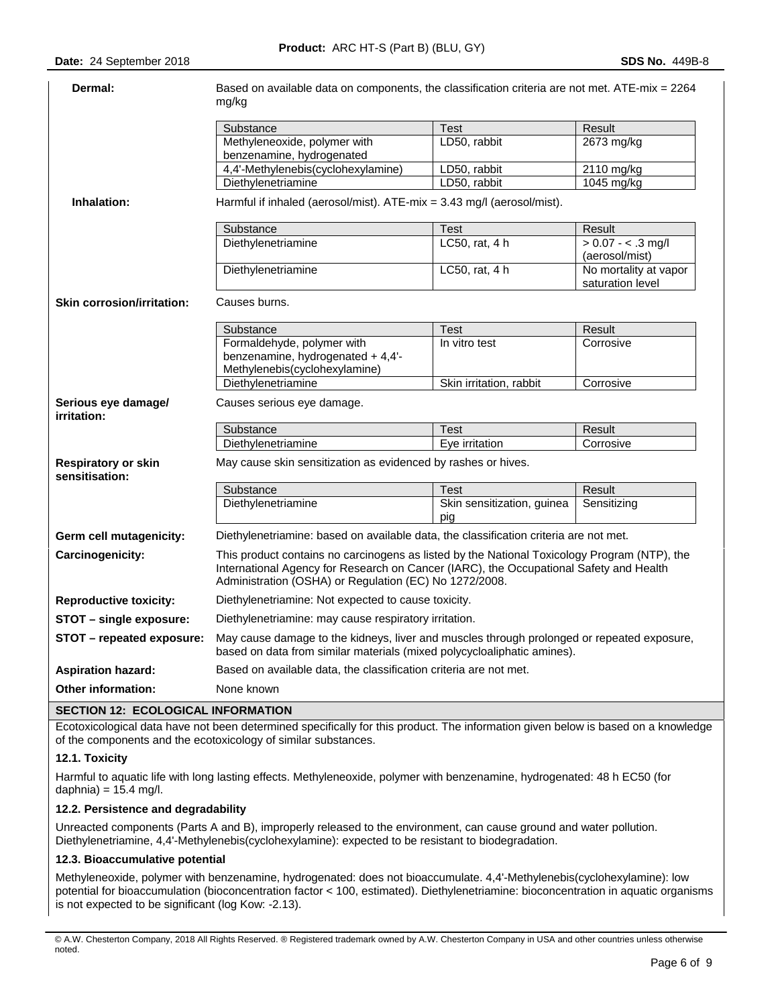# **Date:** 24 September 2018 **SDS No.** 449B-8

| Dermal:                                      | Based on available data on components, the classification criteria are not met. ATE-mix = 2264<br>mg/kg                                                                                                                                          |                                   |                                           |  |  |  |
|----------------------------------------------|--------------------------------------------------------------------------------------------------------------------------------------------------------------------------------------------------------------------------------------------------|-----------------------------------|-------------------------------------------|--|--|--|
|                                              | Substance                                                                                                                                                                                                                                        | Test                              | Result                                    |  |  |  |
|                                              | Methyleneoxide, polymer with                                                                                                                                                                                                                     | LD50, rabbit                      | 2673 mg/kg                                |  |  |  |
|                                              | benzenamine, hydrogenated                                                                                                                                                                                                                        |                                   |                                           |  |  |  |
|                                              | 4,4'-Methylenebis(cyclohexylamine)                                                                                                                                                                                                               | LD50, rabbit                      | 2110 mg/kg                                |  |  |  |
|                                              | Diethylenetriamine                                                                                                                                                                                                                               | LD50, rabbit                      | 1045 mg/kg                                |  |  |  |
| Inhalation:                                  | Harmful if inhaled (aerosol/mist). ATE-mix = 3.43 mg/l (aerosol/mist).                                                                                                                                                                           |                                   |                                           |  |  |  |
|                                              | Substance                                                                                                                                                                                                                                        | Test                              | Result                                    |  |  |  |
|                                              | Diethylenetriamine                                                                                                                                                                                                                               | LC50, rat, 4 h                    | $> 0.07 - 3$ mg/l<br>(aerosol/mist)       |  |  |  |
|                                              | Diethylenetriamine                                                                                                                                                                                                                               | LC50, rat, 4 h                    | No mortality at vapor<br>saturation level |  |  |  |
| <b>Skin corrosion/irritation:</b>            | Causes burns.                                                                                                                                                                                                                                    |                                   |                                           |  |  |  |
|                                              | Substance                                                                                                                                                                                                                                        | Test                              | Result                                    |  |  |  |
|                                              | Formaldehyde, polymer with                                                                                                                                                                                                                       | In vitro test                     | Corrosive                                 |  |  |  |
|                                              | benzenamine, hydrogenated + 4,4'-                                                                                                                                                                                                                |                                   |                                           |  |  |  |
|                                              | Methylenebis(cyclohexylamine)                                                                                                                                                                                                                    |                                   |                                           |  |  |  |
|                                              | Diethylenetriamine                                                                                                                                                                                                                               | Skin irritation, rabbit           | Corrosive                                 |  |  |  |
| Serious eye damage/<br>irritation:           | Causes serious eye damage.                                                                                                                                                                                                                       |                                   |                                           |  |  |  |
|                                              | Substance                                                                                                                                                                                                                                        | <b>Test</b>                       | Result                                    |  |  |  |
|                                              | Diethylenetriamine                                                                                                                                                                                                                               | Eye irritation                    | Corrosive                                 |  |  |  |
| <b>Respiratory or skin</b><br>sensitisation: | May cause skin sensitization as evidenced by rashes or hives.                                                                                                                                                                                    |                                   |                                           |  |  |  |
|                                              | Substance                                                                                                                                                                                                                                        | Test                              | Result                                    |  |  |  |
|                                              | Diethylenetriamine                                                                                                                                                                                                                               | Skin sensitization, guinea<br>pia | Sensitizing                               |  |  |  |
| Germ cell mutagenicity:                      | Diethylenetriamine: based on available data, the classification criteria are not met.                                                                                                                                                            |                                   |                                           |  |  |  |
| Carcinogenicity:                             | This product contains no carcinogens as listed by the National Toxicology Program (NTP), the<br>International Agency for Research on Cancer (IARC), the Occupational Safety and Health<br>Administration (OSHA) or Regulation (EC) No 1272/2008. |                                   |                                           |  |  |  |
| <b>Reproductive toxicity:</b>                | Diethylenetriamine: Not expected to cause toxicity.                                                                                                                                                                                              |                                   |                                           |  |  |  |
| STOT - single exposure:                      | Diethylenetriamine: may cause respiratory irritation.                                                                                                                                                                                            |                                   |                                           |  |  |  |
| STOT - repeated exposure:                    | May cause damage to the kidneys, liver and muscles through prolonged or repeated exposure,<br>based on data from similar materials (mixed polycycloaliphatic amines).                                                                            |                                   |                                           |  |  |  |
| <b>Aspiration hazard:</b>                    | Based on available data, the classification criteria are not met.                                                                                                                                                                                |                                   |                                           |  |  |  |
| <b>Other information:</b>                    | None known                                                                                                                                                                                                                                       |                                   |                                           |  |  |  |
| <b>SECTION 12: ECOLOGICAL INFORMATION</b>    |                                                                                                                                                                                                                                                  |                                   |                                           |  |  |  |

Ecotoxicological data have not been determined specifically for this product. The information given below is based on a knowledge of the components and the ecotoxicology of similar substances.

# **12.1. Toxicity**

Harmful to aquatic life with long lasting effects. Methyleneoxide, polymer with benzenamine, hydrogenated: 48 h EC50 (for daphnia) =  $15.4$  mg/l.

# **12.2. Persistence and degradability**

Unreacted components (Parts A and B), improperly released to the environment, can cause ground and water pollution. Diethylenetriamine, 4,4'-Methylenebis(cyclohexylamine): expected to be resistant to biodegradation.

# **12.3. Bioaccumulative potential**

Methyleneoxide, polymer with benzenamine, hydrogenated: does not bioaccumulate. 4,4'-Methylenebis(cyclohexylamine): low potential for bioaccumulation (bioconcentration factor < 100, estimated). Diethylenetriamine: bioconcentration in aquatic organisms is not expected to be significant (log Kow: -2.13).

<sup>©</sup> A.W. Chesterton Company, 2018 All Rights Reserved. ® Registered trademark owned by A.W. Chesterton Company in USA and other countries unless otherwise noted.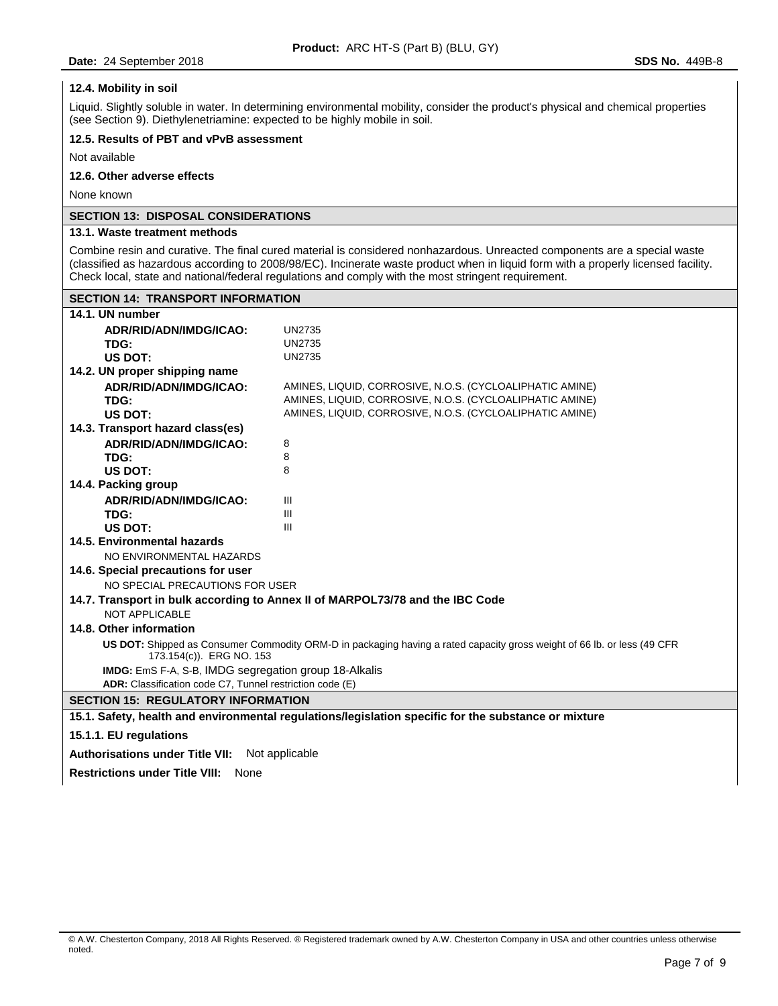# **12.4. Mobility in soil**

Liquid. Slightly soluble in water. In determining environmental mobility, consider the product's physical and chemical properties (see Section 9). Diethylenetriamine: expected to be highly mobile in soil.

# **12.5. Results of PBT and vPvB assessment**

Not available

# **12.6. Other adverse effects**

None known

# **SECTION 13: DISPOSAL CONSIDERATIONS**

# **13.1. Waste treatment methods**

Combine resin and curative. The final cured material is considered nonhazardous. Unreacted components are a special waste (classified as hazardous according to 2008/98/EC). Incinerate waste product when in liquid form with a properly licensed facility. Check local, state and national/federal regulations and comply with the most stringent requirement.

| <b>SECTION 14: TRANSPORT INFORMATION</b>                                      |                                                                                                                         |  |  |  |  |
|-------------------------------------------------------------------------------|-------------------------------------------------------------------------------------------------------------------------|--|--|--|--|
| 14.1. UN number                                                               |                                                                                                                         |  |  |  |  |
| ADR/RID/ADN/IMDG/ICAO:                                                        | <b>UN2735</b>                                                                                                           |  |  |  |  |
| TDG:                                                                          | <b>UN2735</b>                                                                                                           |  |  |  |  |
| US DOT:                                                                       | <b>UN2735</b>                                                                                                           |  |  |  |  |
| 14.2. UN proper shipping name                                                 |                                                                                                                         |  |  |  |  |
| ADR/RID/ADN/IMDG/ICAO:                                                        | AMINES, LIQUID, CORROSIVE, N.O.S. (CYCLOALIPHATIC AMINE)                                                                |  |  |  |  |
| TDG:                                                                          | AMINES, LIQUID, CORROSIVE, N.O.S. (CYCLOALIPHATIC AMINE)                                                                |  |  |  |  |
| <b>US DOT:</b>                                                                | AMINES, LIQUID, CORROSIVE, N.O.S. (CYCLOALIPHATIC AMINE)                                                                |  |  |  |  |
| 14.3. Transport hazard class(es)                                              |                                                                                                                         |  |  |  |  |
| ADR/RID/ADN/IMDG/ICAO:                                                        | 8                                                                                                                       |  |  |  |  |
| TDG:                                                                          | 8                                                                                                                       |  |  |  |  |
| <b>US DOT:</b>                                                                | 8                                                                                                                       |  |  |  |  |
| 14.4. Packing group                                                           |                                                                                                                         |  |  |  |  |
| ADR/RID/ADN/IMDG/ICAO:                                                        | Ш                                                                                                                       |  |  |  |  |
| TDG:                                                                          | III                                                                                                                     |  |  |  |  |
| US DOT:                                                                       | Ш                                                                                                                       |  |  |  |  |
| 14.5. Environmental hazards                                                   |                                                                                                                         |  |  |  |  |
| NO ENVIRONMENTAL HAZARDS                                                      |                                                                                                                         |  |  |  |  |
| 14.6. Special precautions for user                                            |                                                                                                                         |  |  |  |  |
| NO SPECIAL PRECAUTIONS FOR USER                                               |                                                                                                                         |  |  |  |  |
| 14.7. Transport in bulk according to Annex II of MARPOL73/78 and the IBC Code |                                                                                                                         |  |  |  |  |
| <b>NOT APPLICABLE</b>                                                         |                                                                                                                         |  |  |  |  |
| 14.8. Other information                                                       |                                                                                                                         |  |  |  |  |
| 173.154(c)). ERG NO. 153                                                      | US DOT: Shipped as Consumer Commodity ORM-D in packaging having a rated capacity gross weight of 66 lb. or less (49 CFR |  |  |  |  |
| IMDG: EmS F-A, S-B, IMDG segregation group 18-Alkalis                         |                                                                                                                         |  |  |  |  |
| ADR: Classification code C7, Tunnel restriction code (E)                      |                                                                                                                         |  |  |  |  |
| <b>SECTION 15: REGULATORY INFORMATION</b>                                     |                                                                                                                         |  |  |  |  |
|                                                                               | 15.1. Safety, health and environmental regulations/legislation specific for the substance or mixture                    |  |  |  |  |
| 15.1.1. EU regulations                                                        |                                                                                                                         |  |  |  |  |
| Autherications under Title VII. Not conjected                                 |                                                                                                                         |  |  |  |  |

# **Authorisations under Title VII:** Not applicable

**Restrictions under Title VIII:** None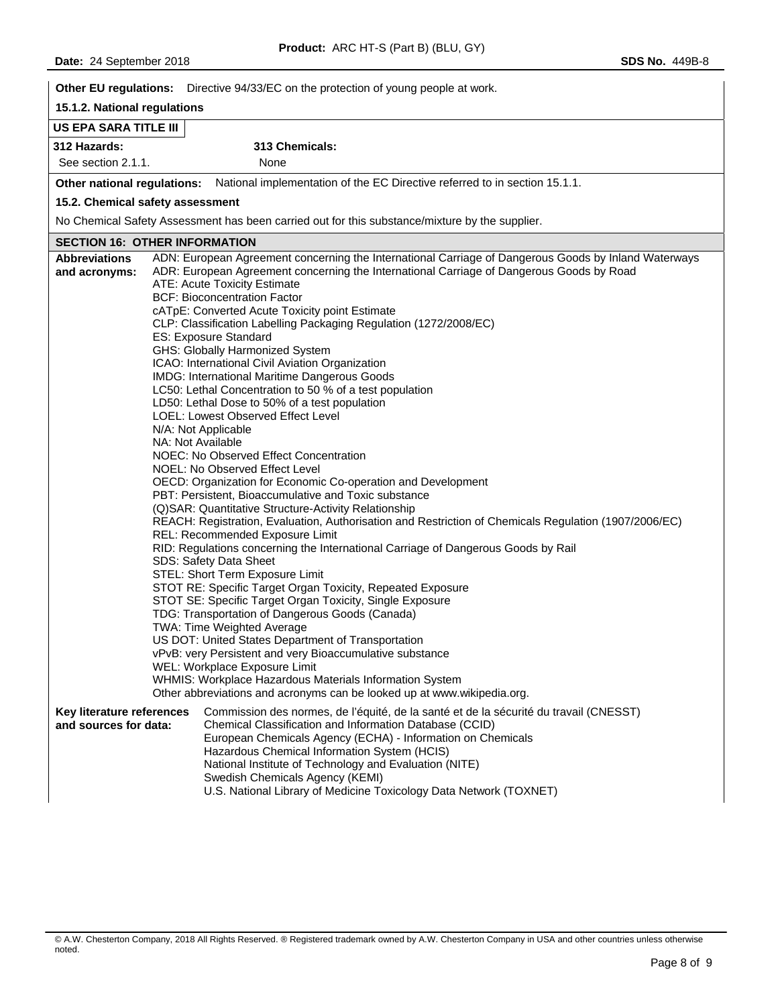|                                                    | Other EU regulations: Directive 94/33/EC on the protection of young people at work.                                                                                                                                                                                                                                                                                                                                                                                                                                                                                                                                                                                                                                                                                                                                                                                                                                                                                                                                                                                                                                                                                                                                                                                                                                                                                                                                                                                                                                                                                                                                                                                                                                                                          |
|----------------------------------------------------|--------------------------------------------------------------------------------------------------------------------------------------------------------------------------------------------------------------------------------------------------------------------------------------------------------------------------------------------------------------------------------------------------------------------------------------------------------------------------------------------------------------------------------------------------------------------------------------------------------------------------------------------------------------------------------------------------------------------------------------------------------------------------------------------------------------------------------------------------------------------------------------------------------------------------------------------------------------------------------------------------------------------------------------------------------------------------------------------------------------------------------------------------------------------------------------------------------------------------------------------------------------------------------------------------------------------------------------------------------------------------------------------------------------------------------------------------------------------------------------------------------------------------------------------------------------------------------------------------------------------------------------------------------------------------------------------------------------------------------------------------------------|
| 15.1.2. National regulations                       |                                                                                                                                                                                                                                                                                                                                                                                                                                                                                                                                                                                                                                                                                                                                                                                                                                                                                                                                                                                                                                                                                                                                                                                                                                                                                                                                                                                                                                                                                                                                                                                                                                                                                                                                                              |
| <b>US EPA SARA TITLE III</b>                       |                                                                                                                                                                                                                                                                                                                                                                                                                                                                                                                                                                                                                                                                                                                                                                                                                                                                                                                                                                                                                                                                                                                                                                                                                                                                                                                                                                                                                                                                                                                                                                                                                                                                                                                                                              |
| 312 Hazards:                                       | 313 Chemicals:                                                                                                                                                                                                                                                                                                                                                                                                                                                                                                                                                                                                                                                                                                                                                                                                                                                                                                                                                                                                                                                                                                                                                                                                                                                                                                                                                                                                                                                                                                                                                                                                                                                                                                                                               |
| See section 2.1.1.                                 | None                                                                                                                                                                                                                                                                                                                                                                                                                                                                                                                                                                                                                                                                                                                                                                                                                                                                                                                                                                                                                                                                                                                                                                                                                                                                                                                                                                                                                                                                                                                                                                                                                                                                                                                                                         |
|                                                    | Other national regulations: National implementation of the EC Directive referred to in section 15.1.1.                                                                                                                                                                                                                                                                                                                                                                                                                                                                                                                                                                                                                                                                                                                                                                                                                                                                                                                                                                                                                                                                                                                                                                                                                                                                                                                                                                                                                                                                                                                                                                                                                                                       |
| 15.2. Chemical safety assessment                   |                                                                                                                                                                                                                                                                                                                                                                                                                                                                                                                                                                                                                                                                                                                                                                                                                                                                                                                                                                                                                                                                                                                                                                                                                                                                                                                                                                                                                                                                                                                                                                                                                                                                                                                                                              |
|                                                    | No Chemical Safety Assessment has been carried out for this substance/mixture by the supplier.                                                                                                                                                                                                                                                                                                                                                                                                                                                                                                                                                                                                                                                                                                                                                                                                                                                                                                                                                                                                                                                                                                                                                                                                                                                                                                                                                                                                                                                                                                                                                                                                                                                               |
| <b>SECTION 16: OTHER INFORMATION</b>               |                                                                                                                                                                                                                                                                                                                                                                                                                                                                                                                                                                                                                                                                                                                                                                                                                                                                                                                                                                                                                                                                                                                                                                                                                                                                                                                                                                                                                                                                                                                                                                                                                                                                                                                                                              |
| <b>Abbreviations</b><br>and acronyms:              | ADN: European Agreement concerning the International Carriage of Dangerous Goods by Inland Waterways<br>ADR: European Agreement concerning the International Carriage of Dangerous Goods by Road<br><b>ATE: Acute Toxicity Estimate</b><br><b>BCF: Bioconcentration Factor</b><br>cATpE: Converted Acute Toxicity point Estimate<br>CLP: Classification Labelling Packaging Regulation (1272/2008/EC)<br><b>ES: Exposure Standard</b><br>GHS: Globally Harmonized System<br>ICAO: International Civil Aviation Organization<br>IMDG: International Maritime Dangerous Goods<br>LC50: Lethal Concentration to 50 % of a test population<br>LD50: Lethal Dose to 50% of a test population<br>LOEL: Lowest Observed Effect Level<br>N/A: Not Applicable<br>NA: Not Available<br>NOEC: No Observed Effect Concentration<br>NOEL: No Observed Effect Level<br>OECD: Organization for Economic Co-operation and Development<br>PBT: Persistent, Bioaccumulative and Toxic substance<br>(Q)SAR: Quantitative Structure-Activity Relationship<br>REACH: Registration, Evaluation, Authorisation and Restriction of Chemicals Regulation (1907/2006/EC)<br>REL: Recommended Exposure Limit<br>RID: Regulations concerning the International Carriage of Dangerous Goods by Rail<br>SDS: Safety Data Sheet<br>STEL: Short Term Exposure Limit<br>STOT RE: Specific Target Organ Toxicity, Repeated Exposure<br>STOT SE: Specific Target Organ Toxicity, Single Exposure<br>TDG: Transportation of Dangerous Goods (Canada)<br>TWA: Time Weighted Average<br>US DOT: United States Department of Transportation<br>vPvB: very Persistent and very Bioaccumulative substance<br>WEL: Workplace Exposure Limit<br>WHMIS: Workplace Hazardous Materials Information System |
| Key literature references<br>and sources for data: | Other abbreviations and acronyms can be looked up at www.wikipedia.org.<br>Commission des normes, de l'équité, de la santé et de la sécurité du travail (CNESST)<br>Chemical Classification and Information Database (CCID)<br>European Chemicals Agency (ECHA) - Information on Chemicals<br>Hazardous Chemical Information System (HCIS)<br>National Institute of Technology and Evaluation (NITE)<br>Swedish Chemicals Agency (KEMI)<br>U.S. National Library of Medicine Toxicology Data Network (TOXNET)                                                                                                                                                                                                                                                                                                                                                                                                                                                                                                                                                                                                                                                                                                                                                                                                                                                                                                                                                                                                                                                                                                                                                                                                                                                |